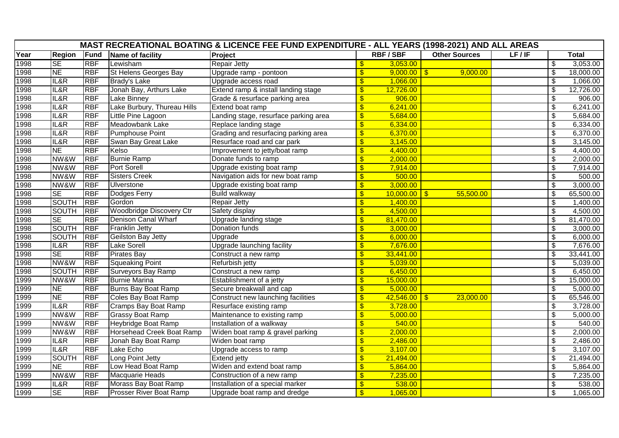|      | MAST RECREATIONAL BOATING & LICENCE FEE FUND EXPENDITURE - ALL YEARS (1998-2021) AND ALL AREAS |            |                                 |                                       |                           |                |                      |       |                                |              |
|------|------------------------------------------------------------------------------------------------|------------|---------------------------------|---------------------------------------|---------------------------|----------------|----------------------|-------|--------------------------------|--------------|
| Year | <b>Region</b>                                                                                  | Fund       | Name of facility                | Project                               |                           | <b>RBF/SBF</b> | <b>Other Sources</b> | LF/IF |                                | <b>Total</b> |
| 1998 | <b>SE</b>                                                                                      | <b>RBF</b> | Lewisham                        | <b>Repair Jetty</b>                   | \$                        | 3,053.00       |                      |       | \$                             | 3,053.00     |
| 1998 | <b>NE</b>                                                                                      | <b>RBF</b> | St Helens Georges Bay           | Upgrade ramp - pontoon                | $\overline{\mathbf{S}}$   | $9,000.00$ \$  | 9,000.00             |       | $\overline{\mathbf{S}}$        | 18,000.00    |
| 1998 | IL&R                                                                                           | <b>RBF</b> | <b>Brady's Lake</b>             | Upgrade access road                   | $\overline{\mathbf{S}}$   | 1,066.00       |                      |       | $\overline{\mathbf{S}}$        | 1,066.00     |
| 1998 | IL&R                                                                                           | <b>RBF</b> | Jonah Bay, Arthurs Lake         | Extend ramp & install landing stage   | $\overline{\mathbf{S}}$   | 12,726.00      |                      |       | \$                             | 12,726.00    |
| 1998 | IL&R                                                                                           | <b>RBF</b> | <b>Lake Binney</b>              | Grade & resurface parking area        | $\sqrt[6]{\frac{1}{2}}$   | 906.00         |                      |       | $\overline{\mathcal{S}}$       | 906.00       |
| 1998 | IL&R                                                                                           | <b>RBF</b> | Lake Burbury, Thureau Hills     | Extend boat ramp                      | $\frac{1}{2}$             | 6,241.00       |                      |       | \$                             | 6,241.00     |
| 1998 | IL&R                                                                                           | <b>RBF</b> | Little Pine Lagoon              | Landing stage, resurface parking area | $\overline{\mathcal{S}}$  | 5,684.00       |                      |       | $\overline{\mathcal{S}}$       | 5,684.00     |
| 1998 | IL&R                                                                                           | <b>RBF</b> | Meadowbank Lake                 | Replace landing stage                 | $\sqrt[6]{\frac{1}{2}}$   | 6,334.00       |                      |       | $\overline{\mathbf{S}}$        | 6,334.00     |
| 1998 | IL&R                                                                                           | <b>RBF</b> | <b>Pumphouse Point</b>          | Grading and resurfacing parking area  | $\frac{1}{2}$             | 6,370.00       |                      |       | \$                             | 6,370.00     |
| 1998 | IL&R                                                                                           | <b>RBF</b> | Swan Bay Great Lake             | Resurface road and car park           | $\overline{\mathbf{S}}$   | 3,145.00       |                      |       | $\overline{\mathcal{S}}$       | 3,145.00     |
| 1998 | <b>NE</b>                                                                                      | <b>RBF</b> | Kelso                           | Improvement to jetty/boat ramp        | $\frac{1}{2}$             | 4,400.00       |                      |       | \$                             | 4,400.00     |
| 1998 | NW&W                                                                                           | <b>RBF</b> | <b>Burnie Ramp</b>              | Donate funds to ramp                  | $\overline{\mathcal{S}}$  | 2,000.00       |                      |       | $\overline{\boldsymbol{\phi}}$ | 2,000.00     |
| 1998 | NW&W                                                                                           | <b>RBF</b> | <b>Port Sorell</b>              | Upgrade existing boat ramp            | $\overline{\mathbf{S}}$   | 7,914.00       |                      |       | $\overline{\$}$                | 7,914.00     |
| 1998 | NW&W                                                                                           | <b>RBF</b> | <b>Sisters Creek</b>            | Navigation aids for new boat ramp     | $\frac{1}{2}$             | 500.00         |                      |       | \$                             | 500.00       |
| 1998 | NW&W                                                                                           | <b>RBF</b> | Ulverstone                      | Upgrade existing boat ramp            | $\overline{\mathbf{S}}$   | 3,000.00       |                      |       | $\overline{\mathbf{S}}$        | 3,000.00     |
| 1998 | <b>SE</b>                                                                                      | <b>RBF</b> | Dodges Ferry                    | <b>Build walkway</b>                  | $\sqrt[6]{\frac{1}{2}}$   | $10,000.00$ \$ | 55,500.00            |       | $\overline{\mathbf{s}}$        | 65,500.00    |
| 1998 | <b>SOUTH</b>                                                                                   | <b>RBF</b> | Gordon                          | <b>Repair Jetty</b>                   | $\frac{1}{2}$             | 1,400.00       |                      |       | $\$\$                          | 1,400.00     |
| 1998 | <b>SOUTH</b>                                                                                   | <b>RBF</b> | <b>Woodbridge Discovery Ctr</b> | Safety display                        | $\overline{\mathbf{S}}$   | 4,500.00       |                      |       | $\overline{\mathbf{S}}$        | 4,500.00     |
| 1998 | <b>SE</b>                                                                                      | <b>RBF</b> | <b>Denison Canal Wharf</b>      | Upgrade landing stage                 | $\frac{1}{2}$             | 81,470.00      |                      |       | \$                             | 81,470.00    |
| 1998 | <b>SOUTH</b>                                                                                   | <b>RBF</b> | <b>Franklin Jetty</b>           | Donation funds                        | \$                        | 3,000.00       |                      |       | $\overline{\mathbf{S}}$        | 3,000.00     |
| 1998 | <b>SOUTH</b>                                                                                   | <b>RBF</b> | <b>Geilston Bay Jetty</b>       | Upgrade                               | \$                        | 6,000.00       |                      |       | $\overline{\$}$                | 6,000.00     |
| 1998 | IL&R                                                                                           | <b>RBF</b> | <b>Lake Sorell</b>              | Upgrade launching facility            | $\frac{1}{2}$             | 7,676.00       |                      |       | \$                             | 7,676.00     |
| 1998 | <b>SE</b>                                                                                      | <b>RBF</b> | <b>Pirates Bay</b>              | Construct a new ramp                  | $\overline{\$}$           | 33,441.00      |                      |       | $\overline{\mathfrak{s}}$      | 33,441.00    |
| 1998 | NW&W                                                                                           | <b>RBF</b> | <b>Squeaking Point</b>          | Refurbish jetty                       | $\sqrt[6]{\frac{1}{2}}$   | 5,039.00       |                      |       | \$                             | 5,039.00     |
| 1998 | <b>SOUTH</b>                                                                                   | <b>RBF</b> | Surveyors Bay Ramp              | Construct a new ramp                  | \$                        | 6,450.00       |                      |       | \$                             | 6,450.00     |
| 1999 | NW&W                                                                                           | <b>RBF</b> | <b>Burnie Marina</b>            | Establishment of a jetty              | $\overline{\mathbf{S}}$   | 15,000.00      |                      |       | $\overline{\mathcal{S}}$       | 15,000.00    |
| 1999 | <b>NE</b>                                                                                      | <b>RBF</b> | Burns Bay Boat Ramp             | Secure breakwall and cap              | $\frac{1}{2}$             | 5,000.00       |                      |       | \$                             | 5,000.00     |
| 1999 | <b>NE</b>                                                                                      | <b>RBF</b> | <b>Coles Bay Boat Ramp</b>      | Construct new launching facilities    | $\overline{\mathcal{S}}$  | $42,546.00$ \$ | 23,000.00            |       | $\overline{\mathfrak{s}}$      | 65,546.00    |
| 1999 | IL&R                                                                                           | <b>RBF</b> | Cramps Bay Boat Ramp            | Resurface existing ramp               | $\boldsymbol{\mathsf{S}}$ | 3,728.00       |                      |       | \$                             | 3,728.00     |
| 1999 | NW&W                                                                                           | <b>RBF</b> | <b>Grassy Boat Ramp</b>         | Maintenance to existing ramp          | \$                        | 5,000.00       |                      |       | \$                             | 5,000.00     |
| 1999 | NW&W                                                                                           | <b>RBF</b> | Heybridge Boat Ramp             | Installation of a walkway             | $\overline{\mathbf{S}}$   | 540.00         |                      |       | $\overline{\mathbf{S}}$        | 540.00       |
| 1999 | NW&W                                                                                           | <b>RBF</b> | Horsehead Creek Boat Ramp       | Widen boat ramp & gravel parking      | $\frac{1}{2}$             | 2,000.00       |                      |       | \$                             | 2,000.00     |
| 1999 | IL&R                                                                                           | <b>RBF</b> | Jonah Bay Boat Ramp             | Widen boat ramp                       | $\frac{1}{2}$             | 2,486.00       |                      |       | $\overline{\mathfrak{s}}$      | 2,486.00     |
| 1999 | IL&R                                                                                           | <b>RBF</b> | Lake Echo                       | Upgrade access to ramp                | $\sqrt[6]{\frac{1}{2}}$   | 3,107.00       |                      |       | $\overline{\$}$                | 3,107.00     |
| 1999 | <b>SOUTH</b>                                                                                   | <b>RBF</b> | Long Point Jetty                | Extend jetty                          | $\overline{\mathbf{S}}$   | 21,494.00      |                      |       | \$                             | 21,494.00    |
| 1999 | <b>NE</b>                                                                                      | <b>RBF</b> | Low Head Boat Ramp              | Widen and extend boat ramp            | $\overline{\mathbf{S}}$   | 5,864.00       |                      |       | $\overline{\mathbf{S}}$        | 5,864.00     |
| 1999 | NW&W                                                                                           | <b>RBF</b> | Macquarie Heads                 | Construction of a new ramp            | $\boldsymbol{\mathsf{S}}$ | 7,235.00       |                      |       | \$                             | 7,235.00     |
| 1999 | IL&R                                                                                           | <b>RBF</b> | Morass Bay Boat Ramp            | Installation of a special marker      | $\frac{1}{2}$             | 538.00         |                      |       | \$                             | 538.00       |
| 1999 | <b>SE</b>                                                                                      | <b>RBF</b> | <b>Prosser River Boat Ramp</b>  | Upgrade boat ramp and dredge          | $\overline{\mathbb{S}}$   | 1,065.00       |                      |       | $\sqrt[6]{2}$                  | 1,065.00     |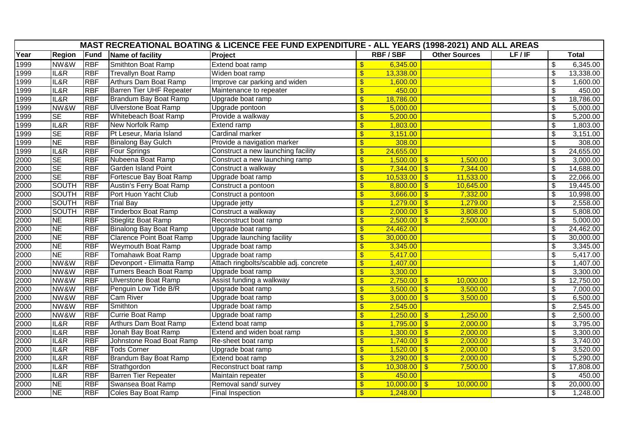|      |                        |             |                                 | MAST RECREATIONAL BOATING & LICENCE FEE FUND EXPENDITURE - ALL YEARS (1998-2021) AND ALL AREAS |                         |                 |                      |       |                                        |              |
|------|------------------------|-------------|---------------------------------|------------------------------------------------------------------------------------------------|-------------------------|-----------------|----------------------|-------|----------------------------------------|--------------|
| Year | <b>Region</b>          | <b>Fund</b> | Name of facility                | Project                                                                                        |                         | <b>RBF/SBF</b>  | <b>Other Sources</b> | LF/IF |                                        | <b>Total</b> |
| 1999 | NW&W                   | <b>RBF</b>  | Smithton Boat Ramp              | Extend boat ramp                                                                               | $\sqrt[6]{3}$           | 6,345.00        |                      |       | \$                                     | 6,345.00     |
| 1999 | IL&R                   | <b>RBF</b>  | <b>Trevallyn Boat Ramp</b>      | Widen boat ramp                                                                                | $\frac{1}{2}$           | 13,338.00       |                      |       | $\sqrt[6]{\frac{1}{2}}$                | 13,338.00    |
| 1999 | IL&R                   | <b>RBF</b>  | Arthurs Dam Boat Ramp           | Improve car parking and widen                                                                  | \$                      | 1,600.00        |                      |       | \$                                     | 1,600.00     |
| 1999 | IL&R                   | <b>RBF</b>  | <b>Barren Tier UHF Repeater</b> | Maintenance to repeater                                                                        | $\overline{\mathbb{S}}$ | 450.00          |                      |       | $\boldsymbol{\mathsf{S}}$              | 450.00       |
| 1999 | IL&R                   | <b>RBF</b>  | Brandum Bay Boat Ramp           | Upgrade boat ramp                                                                              | $\frac{1}{2}$           | 18,786.00       |                      |       | $\boldsymbol{\mathsf{S}}$              | 18,786.00    |
| 1999 | NW&W                   | <b>RBF</b>  | <b>Ulverstone Boat Ramp</b>     | Upgrade pontoon                                                                                | $\overline{\mathbb{S}}$ | 5,000.00        |                      |       | $\overline{\boldsymbol{\mathfrak{s}}}$ | 5,000.00     |
| 1999 | SE                     | <b>RBF</b>  | Whitebeach Boat Ramp            | Provide a walkway                                                                              | $\frac{1}{2}$           | 5,200.00        |                      |       | $\overline{\$}$                        | 5,200.00     |
| 1999 | IL&R                   | <b>RBF</b>  | <b>New Norfolk Ramp</b>         | <b>Extend ramp</b>                                                                             | $\mathbf{\$}$           | 1,803.00        |                      |       | $\overline{\boldsymbol{\mathfrak{s}}}$ | 1,803.00     |
| 1999 | SE                     | <b>RBF</b>  | Pt Leseur, Maria Island         | Cardinal marker                                                                                | \$                      | 3,151.00        |                      |       | \$                                     | 3,151.00     |
| 1999 | <b>NE</b>              | <b>RBF</b>  | <b>Binalong Bay Gulch</b>       | Provide a navigation marker                                                                    | $\frac{1}{2}$           | 308.00          |                      |       | $\frac{1}{2}$                          | 308.00       |
| 1999 | IL&R                   | <b>RBF</b>  | Four Springs                    | Construct a new launching facility                                                             | \$                      | 24,655.00       |                      |       | \$                                     | 24,655.00    |
| 2000 | <b>SE</b>              | <b>RBF</b>  | Nubeena Boat Ramp               | Construct a new launching ramp                                                                 | $\overline{\mathbb{S}}$ | $1,500.00$ \$   | 1,500.00             |       | $\overline{\$}$                        | 3,000.00     |
| 2000 | $\overline{\text{SE}}$ | <b>RBF</b>  | <b>Garden Island Point</b>      | Construct a walkway                                                                            | $\overline{\mathbb{S}}$ | $7,344.00$ \ \$ | 7,344.00             |       | $\overline{\boldsymbol{\mathfrak{s}}}$ | 14,688.00    |
| 2000 | <b>SE</b>              | <b>RBF</b>  | Fortescue Bay Boat Ramp         | Upgrade boat ramp                                                                              | $\sqrt[6]{3}$           | $10,533.00$ \$  | 11,533.00            |       | $\overline{\boldsymbol{\mathfrak{s}}}$ | 22,066.00    |
| 2000 | <b>SOUTH</b>           | <b>RBF</b>  | Austin's Ferry Boat Ramp        | Construct a pontoon                                                                            | $\sqrt[6]{3}$           | $8,800.00$ \$   | 10,645.00            |       | $\boldsymbol{\mathsf{S}}$              | 19,445.00    |
| 2000 | <b>SOUTH</b>           | <b>RBF</b>  | Port Huon Yacht Club            | Construct a pontoon                                                                            | \$                      | $3,666.00$ \$   | 7,332.00             |       | $\boldsymbol{\theta}$                  | 10,998.00    |
| 2000 | <b>SOUTH</b>           | <b>RBF</b>  | <b>Trial Bay</b>                | Upgrade jetty                                                                                  | $\overline{\mathbb{S}}$ | $1,279.00$ \$   | 1,279.00             |       | $\overline{\boldsymbol{\mathfrak{s}}}$ | 2,558.00     |
| 2000 | <b>SOUTH</b>           | <b>RBF</b>  | <b>Tinderbox Boat Ramp</b>      | Construct a walkway                                                                            | $\overline{\mathbb{S}}$ | $2,000.00$ \$   | 3,808.00             |       | $\boldsymbol{\mathsf{S}}$              | 5,808.00     |
| 2000 | <b>NE</b>              | <b>RBF</b>  | <b>Stieglitz Boat Ramp</b>      | Reconstruct boat ramp                                                                          | \$                      | $2,500.00$ \$   | 2,500.00             |       | $\overline{\boldsymbol{\mathfrak{s}}}$ | 5,000.00     |
| 2000 | <b>NE</b>              | <b>RBF</b>  | Binalong Bay Boat Ramp          | Upgrade boat ramp                                                                              | $\sqrt[6]{3}$           | 24,462.00       |                      |       | $\sqrt[6]{\frac{1}{2}}$                | 24,462.00    |
| 2000 | <b>NE</b>              | <b>RBF</b>  | <b>Clarence Point Boat Ramp</b> | Upgrade launching facility                                                                     | \$                      | 30,000.00       |                      |       | $\overline{\boldsymbol{\mathfrak{s}}}$ | 30,000.00    |
| 2000 | <b>NE</b>              | <b>RBF</b>  | <b>Weymouth Boat Ramp</b>       | Upgrade boat ramp                                                                              | $\overline{\mathbf{S}}$ | 3,345.00        |                      |       | \$                                     | 3,345.00     |
| 2000 | <b>NE</b>              | <b>RBF</b>  | <b>Tomahawk Boat Ramp</b>       | Upgrade boat ramp                                                                              | \$                      | 5,417.00        |                      |       | \$                                     | 5,417.00     |
| 2000 | NW&W                   | <b>RBF</b>  | Devonport - Elimatta Ramp       | Attach ringbolts/scabble adj. concrete                                                         | $\sqrt[6]{3}$           | 1,407.00        |                      |       | $\overline{\mathcal{E}}$               | 1,407.00     |
| 2000 | NW&W                   | <b>RBF</b>  | Turners Beach Boat Ramp         | Upgrade boat ramp                                                                              | $\overline{\mathbb{S}}$ | 3,300.00        |                      |       | $\frac{1}{2}$                          | 3,300.00     |
| 2000 | NW&W                   | <b>RBF</b>  | <b>Ulverstone Boat Ramp</b>     | Assist funding a walkway                                                                       | $\sqrt[6]{3}$           | $2,750.00$ \$   | 10,000.00            |       | $\frac{1}{2}$                          | 12,750.00    |
| 2000 | NW&W                   | <b>RBF</b>  | Penguin Low Tide B/R            | Upgrade boat ramp                                                                              | \$                      | $3,500.00$ \$   | 3,500.00             |       | \$                                     | 7,000.00     |
| 2000 | NW&W                   | <b>RBF</b>  | <b>Cam River</b>                | Upgrade boat ramp                                                                              | $\overline{\mathbb{S}}$ | $3,000.00$ \$   | 3,500.00             |       | $\boldsymbol{\mathsf{S}}$              | 6,500.00     |
| 2000 | NW&W                   | <b>RBF</b>  | Smithton                        | Upgrade boat ramp                                                                              | $\overline{\mathbb{S}}$ | 2,545.00        |                      |       | $\overline{\boldsymbol{\mathfrak{s}}}$ | 2,545.00     |
| 2000 | NW&W                   | <b>RBF</b>  | <b>Currie Boat Ramp</b>         | Upgrade boat ramp                                                                              | $\frac{1}{2}$           | $1,250.00$ \$   | 1,250.00             |       | $\frac{1}{2}$                          | 2,500.00     |
| 2000 | IL&R                   | <b>RBF</b>  | Arthurs Dam Boat Ramp           | Extend boat ramp                                                                               | $\sqrt[6]{3}$           | $1,795.00$ \$   | 2,000.00             |       | $\sqrt[6]{\frac{1}{2}}$                | 3,795.00     |
| 2000 | IL&R                   | <b>RBF</b>  | Jonah Bay Boat Ramp             | Extend and widen boat ramp                                                                     | \$                      | $1,300.00$ \$   | 2,000.00             |       | \$                                     | 3,300.00     |
| 2000 | IL&R                   | <b>RBF</b>  | Johnstone Road Boat Ramp        | Re-sheet boat ramp                                                                             | $\overline{\mathbf{S}}$ | $1,740.00$ \$   | 2,000.00             |       | $\boldsymbol{\mathsf{S}}$              | 3,740.00     |
| 2000 | IL&R                   | <b>RBF</b>  | <b>Tods Corner</b>              | Upgrade boat ramp                                                                              | $\overline{\mathbb{S}}$ | $1,520.00$ \$   | 2,000.00             |       | $\overline{\boldsymbol{\mathfrak{s}}}$ | 3,520.00     |
| 2000 | IL&R                   | <b>RBF</b>  | Brandum Bay Boat Ramp           | Extend boat ramp                                                                               | \$                      | $3,290.00$ \$   | 2,000.00             |       | $\overline{\mathcal{S}}$               | 5,290.00     |
| 2000 | IL&R                   | <b>RBF</b>  | Strathgordon                    | Reconstruct boat ramp                                                                          | $\sqrt[6]{3}$           | $10,308.00$ \$  | 7,500.00             |       | $\sqrt[6]{\frac{1}{2}}$                | 17,808.00    |
| 2000 | IL&R                   | <b>RBF</b>  | <b>Barren Tier Repeater</b>     | Maintain repeater                                                                              | \$                      | 450.00          |                      |       | $\overline{\boldsymbol{\mathfrak{s}}}$ | 450.00       |
| 2000 | <b>NE</b>              | <b>RBF</b>  | Swansea Boat Ramp               | Removal sand/ survey                                                                           | $\overline{\mathbf{S}}$ | $10,000.00$ \$  | 10,000.00            |       | $\boldsymbol{\mathsf{S}}$              | 20,000.00    |
| 2000 | <b>NE</b>              | <b>RBF</b>  | <b>Coles Bay Boat Ramp</b>      | <b>Final Inspection</b>                                                                        | $\mathbf{\$}$           | 1,248.00        |                      |       | $\boldsymbol{\mathsf{S}}$              | 1,248.00     |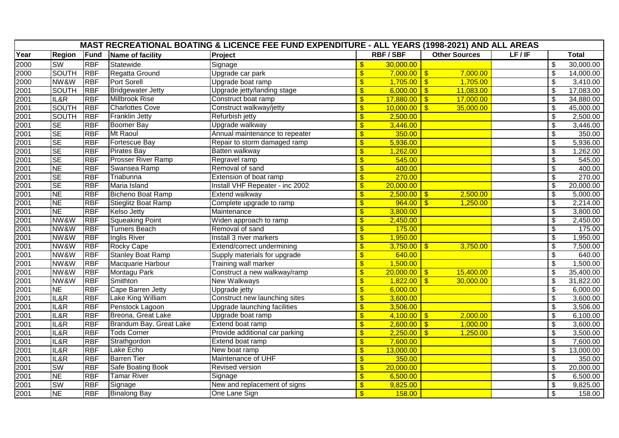| MAST RECREATIONAL BOATING & LICENCE FEE FUND EXPENDITURE - ALL YEARS (1998-2021) AND ALL AREAS |                        |            |                            |                                 |                           |                |                      |       |                          |              |  |
|------------------------------------------------------------------------------------------------|------------------------|------------|----------------------------|---------------------------------|---------------------------|----------------|----------------------|-------|--------------------------|--------------|--|
| Year                                                                                           | <b>Region</b>          | Fund       | Name of facility           | Project                         |                           | <b>RBF/SBF</b> | <b>Other Sources</b> | LF/IF |                          | <b>Total</b> |  |
| 2000                                                                                           | SW                     | <b>RBF</b> | Statewide                  | Signage                         | $\sqrt[6]{3}$             | 30,000.00      |                      |       | $\overline{\mathcal{S}}$ | 30,000.00    |  |
| 2000                                                                                           | <b>SOUTH</b>           | <b>RBF</b> | Regatta Ground             | Upgrade car park                | $\sqrt{3}$                | $7,000.00$ \$  | 7,000.00             |       | \$                       | 14,000.00    |  |
| 2000                                                                                           | NW&W                   | <b>RBF</b> | <b>Port Sorell</b>         | Upgrade boat ramp               | $\boldsymbol{\mathsf{s}}$ | $1,705.00$ \$  | 1,705.00             |       | \$                       | 3,410.00     |  |
| 2001                                                                                           | <b>SOUTH</b>           | <b>RBF</b> | <b>Bridgewater Jetty</b>   | Upgrade jetty/landing stage     | $\sqrt{3}$                | $6,000.00$ \$  | 11,083.00            |       | \$                       | 17,083.00    |  |
| 2001                                                                                           | IL&R                   | <b>RBF</b> | <b>Millbrook Rise</b>      | Construct boat ramp             | $\sqrt[6]{3}$             | $17,880.00$ \$ | 17,000.00            |       | \$                       | 34,880.00    |  |
| 2001                                                                                           | <b>SOUTH</b>           | <b>RBF</b> | <b>Charlottes Cove</b>     | Construct walkway/jetty         | $\sqrt[6]{3}$             | $10,000.00$ \$ | 35,000.00            |       | \$                       | 45,000.00    |  |
| 2001                                                                                           | <b>SOUTH</b>           | <b>RBF</b> | <b>Franklin Jetty</b>      | Refurbish jetty                 | $\sqrt{3}$                | 2,500.00       |                      |       | \$                       | 2,500.00     |  |
| 2001                                                                                           | $\overline{\text{SE}}$ | <b>RBF</b> | <b>Boomer Bay</b>          | Upgrade walkway                 | $\sqrt{3}$                | 3,446.00       |                      |       | \$                       | 3,446.00     |  |
| 2001                                                                                           | <b>SE</b>              | <b>RBF</b> | Mt Raoul                   | Annual maintenance to repeater  | $\sqrt[6]{3}$             | 350.00         |                      |       | \$                       | 350.00       |  |
| 2001                                                                                           | <b>SE</b>              | <b>RBF</b> | Fortescue Bay              | Repair to storm damaged ramp    | $\sqrt[6]{3}$             | 5,936.00       |                      |       | \$                       | 5,936.00     |  |
| 2001                                                                                           | <b>SE</b>              | <b>RBF</b> | <b>Pirates Bay</b>         | Batten walkway                  | $\sqrt[6]{3}$             | 1,262.00       |                      |       | \$                       | 1,262.00     |  |
| 2001                                                                                           | <b>SE</b>              | <b>RBF</b> | <b>Prosser River Ramp</b>  | Regravel ramp                   | $\sqrt{3}$                | 545.00         |                      |       | \$                       | 545.00       |  |
| 2001                                                                                           | $\overline{NE}$        | <b>RBF</b> | Swansea Ramp               | Removal of sand                 | $\sqrt[6]{3}$             | 400.00         |                      |       | \$                       | 400.00       |  |
| 2001                                                                                           | <b>SE</b>              | <b>RBF</b> | Triabunna                  | Extension of boat ramp          | $\sqrt[6]{3}$             | 270.00         |                      |       | \$                       | 270.00       |  |
| 2001                                                                                           | <b>SE</b>              | <b>RBF</b> | Maria Island               | Install VHF Repeater - inc 2002 | $\sqrt[6]{3}$             | 20,000.00      |                      |       | \$                       | 20,000.00    |  |
| 2001                                                                                           | <b>NE</b>              | <b>RBF</b> | <b>Bicheno Boat Ramp</b>   | Extend walkway                  | $\mathbf{\$}$             | $2,500.00$ \$  | 2,500.00             |       | $\overline{\mathcal{S}}$ | 5,000.00     |  |
| 2001                                                                                           | $\overline{\sf NE}$    | <b>RBF</b> | <b>Stieglitz Boat Ramp</b> | Complete upgrade to ramp        | $\boldsymbol{\mathsf{s}}$ | $964.00$ \$    | 1,250.00             |       | $\overline{\mathcal{S}}$ | 2,214.00     |  |
| 2001                                                                                           | $\overline{\text{NE}}$ | <b>RBF</b> | <b>Kelso Jetty</b>         | Maintenance                     | $\sqrt[6]{3}$             | 3,800.00       |                      |       | \$                       | 3,800.00     |  |
| 2001                                                                                           | NW&W                   | <b>RBF</b> | <b>Squeaking Point</b>     | Widen approach to ramp          | $\overline{\mathsf{s}}$   | 2,450.00       |                      |       | \$                       | 2,450.00     |  |
| 2001                                                                                           | NW&W                   | <b>RBF</b> | <b>Turners Beach</b>       | Removal of sand                 | $\sqrt[6]{3}$             | 175.00         |                      |       | $\overline{\mathcal{E}}$ | 175.00       |  |
| 2001                                                                                           | NW&W                   | <b>RBF</b> | Inglis River               | Install 3 river markers         | $\mathbf{\$}$             | 1,950.00       |                      |       | \$                       | 1,950.00     |  |
| 2001                                                                                           | NW&W                   | <b>RBF</b> | Rocky Cape                 | Extend/correct undermining      | $\mathbf{\$}$             | $3,750.00$ \$  | 3,750.00             |       | $\overline{\mathcal{S}}$ | 7,500.00     |  |
| 2001                                                                                           | NW&W                   | <b>RBF</b> | <b>Stanley Boat Ramp</b>   | Supply materials for upgrade    | $\sqrt{3}$                | 640.00         |                      |       | \$                       | 640.00       |  |
| 2001                                                                                           | NW&W                   | <b>RBF</b> | Macquarie Harbour          | <b>Training wall marker</b>     | $\overline{\mathbf{S}}$   | 1,500.00       |                      |       | $\overline{\mathcal{S}}$ | 1,500.00     |  |
| 2001                                                                                           | NW&W                   | <b>RBF</b> | Montagu Park               | Construct a new walkway/ramp    | $\sqrt[6]{3}$             | $20,000.00$ \$ | 15,400.00            |       | \$                       | 35,400.00    |  |
| 2001                                                                                           | NW&W                   | <b>RBF</b> | Smithton                   | <b>New Walkways</b>             | $\sqrt{3}$                | $1,822.00$ \$  | 30,000.00            |       | \$                       | 31,822.00    |  |
| 2001                                                                                           | $\overline{\sf NE}$    | <b>RBF</b> | Cape Barren Jetty          | Upgrade jetty                   | $\mathbf{\$}$             | 6,000.00       |                      |       | $\overline{\mathcal{G}}$ | 6,000.00     |  |
| 2001                                                                                           | IL&R                   | <b>RBF</b> | Lake King William          | Construct new launching sites   | $\frac{1}{2}$             | 3,600.00       |                      |       | \$                       | 3,600.00     |  |
| 2001                                                                                           | IL&R                   | <b>RBF</b> | Penstock Lagoon            | Upgrade launching facilities    | $\overline{\mathsf{s}}$   | 3,506.00       |                      |       | $\overline{\mathcal{S}}$ | 3,506.00     |  |
| 2001                                                                                           | IL&R                   | <b>RBF</b> | Breona, Great Lake         | Upgrade boat ramp               | $\sqrt[6]{3}$             | $4,100.00$ \$  | 2,000.00             |       | $\overline{\mathcal{G}}$ | 6,100.00     |  |
| 2001                                                                                           | IL&R                   | <b>RBF</b> | Brandum Bay, Great Lake    | Extend boat ramp                | $\mathsf{\$}$             | $2,600.00$ \$  | 1,000.00             |       | \$                       | 3,600.00     |  |
| 2001                                                                                           | IL&R                   | <b>RBF</b> | <b>Tods Corner</b>         | Provide additional car parking  | $\mathbf{\$}$             | $2,250.00$ \$  | 1,250.00             |       | $\overline{\mathcal{S}}$ | 3,500.00     |  |
| 2001                                                                                           | IL&R                   | <b>RBF</b> | Strathgordon               | Extend boat ramp                | $\sqrt[6]{3}$             | 7,600.00       |                      |       | \$                       | 7,600.00     |  |
| 2001                                                                                           | IL&R                   | <b>RBF</b> | Lake Echo                  | New boat ramp                   | $\sqrt[6]{3}$             | 13,000.00      |                      |       | \$                       | 13,000.00    |  |
| 2001                                                                                           | IL&R                   | <b>RBF</b> | <b>Barren Tier</b>         | Maintenance of UHF              | $\sqrt[6]{3}$             | 350.00         |                      |       | $\overline{\mathcal{S}}$ | 350.00       |  |
| 2001                                                                                           | SW                     | <b>RBF</b> | Safe Boating Book          | Revised version                 | $\mathbf{\$}$             | 20,000.00      |                      |       | \$                       | 20,000.00    |  |
| 2001                                                                                           | <b>NE</b>              | <b>RBF</b> | <b>Tamar River</b>         | Signage                         | $\mathbf{\$}$             | 6,500.00       |                      |       | $\overline{\mathcal{S}}$ | 6,500.00     |  |
| 2001                                                                                           | <b>SW</b>              | <b>RBF</b> | Signage                    | New and replacement of signs    | $\mathbf{\$}$             | 9,825.00       |                      |       | \$                       | 9,825.00     |  |
| 2001                                                                                           | <b>NE</b>              | <b>RBF</b> | <b>Binalong Bay</b>        | One Lane Sign                   | $\sqrt{3}$                | 158.00         |                      |       | \$                       | 158.00       |  |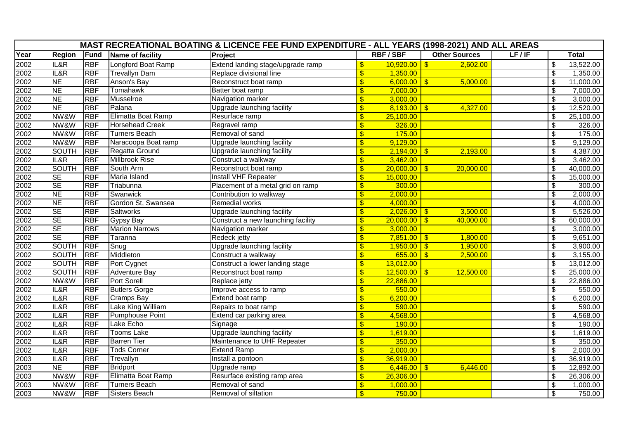| MAST RECREATIONAL BOATING & LICENCE FEE FUND EXPENDITURE - ALL YEARS (1998-2021) AND ALL AREAS |                        |             |                        |                                    |                           |                |                            |       |                          |              |  |
|------------------------------------------------------------------------------------------------|------------------------|-------------|------------------------|------------------------------------|---------------------------|----------------|----------------------------|-------|--------------------------|--------------|--|
| Year                                                                                           | <b>Region</b>          | <b>Fund</b> | Name of facility       | Project                            |                           | <b>RBF/SBF</b> | <b>Other Sources</b>       | LF/IF |                          | <b>Total</b> |  |
| 2002                                                                                           | IL&R                   | <b>RBF</b>  | Longford Boat Ramp     | Extend landing stage/upgrade ramp  | $\sqrt[6]{3}$             | $10,920.00$ \$ | 2,602.00                   |       | $\overline{\mathcal{S}}$ | 13,522.00    |  |
| 2002                                                                                           | IL&R                   | <b>RBF</b>  | <b>Trevallyn Dam</b>   | Replace divisional line            | $\mathbf{\$}$             | 1,350.00       |                            |       | \$                       | 1,350.00     |  |
| 2002                                                                                           | $\overline{\sf NE}$    | <b>RBF</b>  | Anson's Bay            | Reconstruct boat ramp              | $\overline{\mathbf{S}}$   | $6,000.00$ \$  | 5,000.00                   |       | \$                       | 11,000.00    |  |
| 2002                                                                                           | $\overline{\text{NE}}$ | <b>RBF</b>  | Tomahawk               | Batter boat ramp                   | $\sqrt[6]{3}$             | 7,000.00       |                            |       | \$                       | 7,000.00     |  |
| 2002                                                                                           | $\overline{\sf NE}$    | <b>RBF</b>  | Musselroe              | Navigation marker                  | $\sqrt[6]{3}$             | 3,000.00       |                            |       | \$                       | 3,000.00     |  |
| 2002                                                                                           | <b>NE</b>              | <b>RBF</b>  | Palana                 | Upgrade launching facility         | $\overline{\mathbf{S}}$   | $8,193.00$ \$  | 4,327.00                   |       | $\overline{\mathcal{S}}$ | 12,520.00    |  |
| 2002                                                                                           | NW&W                   | <b>RBF</b>  | Elimatta Boat Ramp     | Resurface ramp                     | $\mathbf{\$}$             | 25,100.00      |                            |       | \$                       | 25,100.00    |  |
| 2002                                                                                           | NW&W                   | <b>RBF</b>  | <b>Horsehead Creek</b> | Regravel ramp                      | $\sqrt{3}$                | 326.00         |                            |       | \$                       | 326.00       |  |
| 2002                                                                                           | NW&W                   | <b>RBF</b>  | <b>Turners Beach</b>   | Removal of sand                    | $\overline{\mathbf{S}}$   | 175.00         |                            |       | \$                       | 175.00       |  |
| 2002                                                                                           | NW&W                   | <b>RBF</b>  | Naracoopa Boat ramp    | Upgrade launching facility         | $\sqrt[6]{3}$             | 9,129.00       |                            |       | \$                       | 9,129.00     |  |
| 2002                                                                                           | <b>SOUTH</b>           | <b>RBF</b>  | Regatta Ground         | Upgrade launching facility         | $\overline{\mathbf{s}}$   | $2,194.00$ \$  | 2,193.00                   |       | $\overline{\mathcal{S}}$ | 4,387.00     |  |
| 2002                                                                                           | IL&R                   | <b>RBF</b>  | <b>Millbrook Rise</b>  | Construct a walkway                | $\sqrt[6]{3}$             | 3,462.00       |                            |       | \$                       | 3,462.00     |  |
| 2002                                                                                           | <b>SOUTH</b>           | <b>RBF</b>  | South Arm              | Reconstruct boat ramp              | $\mathbf{\$}$             | $20,000.00$ \$ | 20,000.00                  |       | \$                       | 40,000.00    |  |
| 2002                                                                                           | <b>SE</b>              | <b>RBF</b>  | Maria Island           | <b>Install VHF Repeater</b>        | $\overline{\mathbf{s}}$   | 15,000.00      |                            |       | $\overline{\mathcal{S}}$ | 15,000.00    |  |
| 2002                                                                                           | <b>SE</b>              | <b>RBF</b>  | Triabunna              | Placement of a metal grid on ramp  | $\sqrt[6]{3}$             | 300.00         |                            |       | \$                       | 300.00       |  |
| 2002                                                                                           | <b>NE</b>              | <b>RBF</b>  | Swanwick               | Contribution to walkway            | $\overline{\mathsf{s}}$   | 2,000.00       |                            |       | \$                       | 2,000.00     |  |
| 2002                                                                                           | $\overline{\sf NE}$    | <b>RBF</b>  | Gordon St, Swansea     | <b>Remedial works</b>              | $\sqrt[6]{3}$             | 4,000.00       |                            |       | $\overline{\mathcal{S}}$ | 4,000.00     |  |
| 2002                                                                                           | <b>SE</b>              | <b>RBF</b>  | <b>Saltworks</b>       | Upgrade launching facility         | $\sqrt[6]{3}$             | $2,026.00$ \$  | 3,500.00                   |       | \$                       | 5,526.00     |  |
| 2002                                                                                           | $\overline{\text{SE}}$ | <b>RBF</b>  | <b>Gypsy Bay</b>       | Construct a new launching facility | $\overline{\mathbf{s}}$   | $20,000.00$ \$ | 40,000.00                  |       | $\overline{\mathcal{S}}$ | 60,000.00    |  |
| 2002                                                                                           | <b>SE</b>              | <b>RBF</b>  | <b>Marion Narrows</b>  | Navigation marker                  | $\sqrt[6]{3}$             | 3,000.00       |                            |       | \$                       | 3,000.00     |  |
| 2002                                                                                           | <b>SE</b>              | <b>RBF</b>  | Taranna                | Redeck jetty                       | $\overline{\mathbf{s}}$   | $7,851.00$ \$  | 1,800.00                   |       | $\overline{\mathcal{S}}$ | 9,651.00     |  |
| 2002                                                                                           | <b>SOUTH</b>           | <b>RBF</b>  | Snug                   | <b>Upgrade launching facility</b>  | $\mathbf{\$}$             | $1,950.00$ \$  | 1,950.00                   |       | $\overline{\mathcal{S}}$ | 3,900.00     |  |
| 2002                                                                                           | <b>SOUTH</b>           | <b>RBF</b>  | Middleton              | Construct a walkway                | $\sqrt[6]{3}$             | $655.00$ \$    | 2,500.00                   |       | \$                       | 3,155.00     |  |
| 2002                                                                                           | <b>SOUTH</b>           | <b>RBF</b>  | Port Cygnet            | Construct a lower landing stage    | $\mathbf{\$}$             | 13,012.00      |                            |       | \$                       | 13,012.00    |  |
| 2002                                                                                           | <b>SOUTH</b>           | <b>RBF</b>  | <b>Adventure Bay</b>   | Reconstruct boat ramp              | $\sqrt[6]{\frac{1}{2}}$   | 12,500.00      | 12,500.00<br>$\mathbf{\$}$ |       | \$                       | 25,000.00    |  |
| 2002                                                                                           | NW&W                   | <b>RBF</b>  | <b>Port Sorell</b>     | Replace jetty                      | $\boldsymbol{\mathsf{s}}$ | 22,886.00      |                            |       | \$                       | 22,886.00    |  |
| 2002                                                                                           | IL&R                   | <b>RBF</b>  | <b>Butlers Gorge</b>   | Improve access to ramp             | $\mathbf{\$}$             | 550.00         |                            |       | $\overline{\mathcal{G}}$ | 550.00       |  |
| 2002                                                                                           | IL&R                   | <b>RBF</b>  | <b>Cramps Bay</b>      | Extend boat ramp                   | $\sqrt[6]{3}$             | 6,200.00       |                            |       | \$                       | 6,200.00     |  |
| 2002                                                                                           | IL&R                   | <b>RBF</b>  | Lake King William      | Repairs to boat ramp               | $\sqrt[6]{3}$             | 590.00         |                            |       | \$                       | 590.00       |  |
| 2002                                                                                           | IL&R                   | <b>RBF</b>  | Pumphouse Point        | Extend car parking area            | $\overline{\mathbf{S}}$   | 4,568.00       |                            |       | $\overline{\mathcal{S}}$ | 4,568.00     |  |
| 2002                                                                                           | IL&R                   | <b>RBF</b>  | Lake Echo              | Signage                            | $\sqrt[6]{3}$             | 190.00         |                            |       | \$                       | 190.00       |  |
| 2002                                                                                           | IL&R                   | <b>RBF</b>  | <b>Tooms Lake</b>      | Upgrade launching facility         | $\mathbf{\$}$             | 1,619.00       |                            |       | \$                       | 1,619.00     |  |
| 2002                                                                                           | IL&R                   | <b>RBF</b>  | <b>Barren Tier</b>     | Maintenance to UHF Repeater        | $\overline{\mathbf{s}}$   | 350.00         |                            |       | \$                       | 350.00       |  |
| 2002                                                                                           | IL&R                   | <b>RBF</b>  | <b>Tods Corner</b>     | <b>Extend Ramp</b>                 | $\sqrt[6]{3}$             | 2,000.00       |                            |       | \$                       | 2,000.00     |  |
| 2003                                                                                           | IL&R                   | <b>RBF</b>  | Trevallyn              | Install a pontoon                  | $\boldsymbol{\mathsf{s}}$ | 36,919.00      |                            |       | \$                       | 36,919.00    |  |
| 2003                                                                                           | $\overline{\sf NE}$    | <b>RBF</b>  | <b>Bridport</b>        | Upgrade ramp                       | $\sqrt{3}$                | 6,446.00       | 6,446.00<br>$\mathbf{\$}$  |       | $\overline{\mathcal{S}}$ | 12,892.00    |  |
| 2003                                                                                           | NW&W                   | <b>RBF</b>  | Elimatta Boat Ramp     | Resurface existing ramp area       | $\sqrt[6]{\frac{1}{2}}$   | 26,306.00      |                            |       | $\overline{\mathcal{G}}$ | 26,306.00    |  |
| 2003                                                                                           | NW&W                   | <b>RBF</b>  | <b>Turners Beach</b>   | Removal of sand                    | $\overline{\mathbf{s}}$   | 1,000.00       |                            |       | $\overline{\mathcal{S}}$ | 1,000.00     |  |
| 2003                                                                                           | NW&W                   | <b>RBF</b>  | <b>Sisters Beach</b>   | Removal of siltation               | $\mathbf{\$}$             | 750.00         |                            |       | \$                       | 750.00       |  |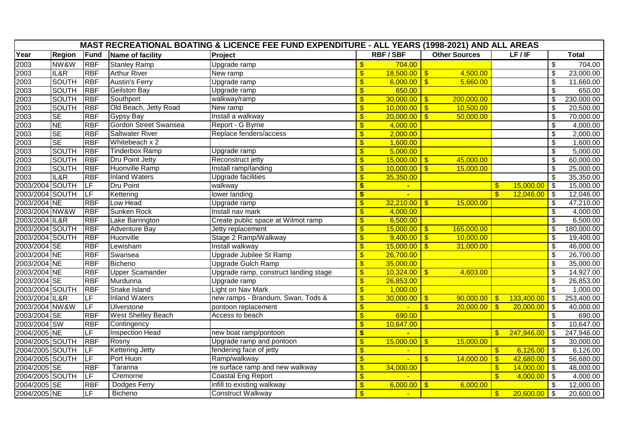|                   | MAST RECREATIONAL BOATING & LICENCE FEE FUND EXPENDITURE - ALL YEARS (1998-2021) AND ALL AREAS |                          |                              |                                       |                                  |                |                         |                      |                         |                |                            |              |
|-------------------|------------------------------------------------------------------------------------------------|--------------------------|------------------------------|---------------------------------------|----------------------------------|----------------|-------------------------|----------------------|-------------------------|----------------|----------------------------|--------------|
| Year              | <b>Region</b>                                                                                  | Fund                     | Name of facility             | Project                               |                                  | <b>RBF/SBF</b> |                         | <b>Other Sources</b> |                         | LF/IF          |                            | <b>Total</b> |
| $\overline{2003}$ | NW&W                                                                                           | <b>RBF</b>               | <b>Stanley Ramp</b>          | Upgrade ramp                          | \$                               | 704.00         |                         |                      |                         |                | \$                         | 704.00       |
|                   | IL&R                                                                                           | <b>RBF</b>               | <b>Arthur River</b>          | New ramp                              | \$                               | $18,500.00$ \$ |                         | 4,500.00             |                         |                | $\overline{\mathcal{S}}$   | 23,000.00    |
| 2003<br>2003      | <b>SOUTH</b>                                                                                   | <b>RBF</b>               | <b>Austin's Ferry</b>        | Upgrade ramp                          | \$                               | $6,000.00$ \$  |                         | 5,660.00             |                         |                | $\overline{\mathfrak{s}}$  | 11,660.00    |
| 2003              | <b>SOUTH</b>                                                                                   | <b>RBF</b>               | <b>Geilston Bay</b>          | Upgrade ramp                          | $\overline{\mathbf{S}}$          | 650.00         |                         |                      |                         |                | $\overline{\mathbf{s}}$    | 650.00       |
| 2003              | <b>SOUTH</b>                                                                                   | <b>RBF</b>               | Southport                    | walkway/ramp                          | $\overline{\mathbf{S}}$          | $30,000.00$ \$ |                         | 200,000.00           |                         |                | $\boldsymbol{\mathsf{S}}$  | 230,000.00   |
| 2003              | <b>SOUTH</b>                                                                                   | <b>RBF</b>               | Old Beach, Jetty Road        | New ramp                              | $\sqrt[6]{\frac{1}{2}}$          | $10,000.00$ \$ |                         | 10,500.00            |                         |                | $\overline{\mathcal{S}}$   | 20,500.00    |
|                   | <b>SE</b>                                                                                      | <b>RBF</b>               | <b>Gypsy Bay</b>             | Install a walkway                     | $\frac{1}{2}$                    | 20,000.00      | $\mathsf{I}$ s          | 50,000.00            |                         |                | $\mathfrak{L}$             | 70,000.00    |
| 2003<br>2003      | <b>NE</b>                                                                                      | <b>RBF</b>               | <b>Gordon Street Swansea</b> | Report - G Byrne                      | $\boldsymbol{\mathsf{s}}$        | 4,000.00       |                         |                      |                         |                | $\sqrt[6]{\frac{1}{2}}$    | 4,000.00     |
| 2003              | <b>SE</b>                                                                                      | <b>RBF</b>               | <b>Saltwater River</b>       | Replace fenders/access                | $\overline{\mathbf{S}}$          | 2,000.00       |                         |                      |                         |                | \$                         | 2,000.00     |
| 2003              | <b>SE</b>                                                                                      | <b>RBF</b>               | Whitebeach x 2               |                                       | $\overline{\mathbf{S}}$          | 1,600.00       |                         |                      |                         |                | $\overline{\mathcal{S}}$   | 1,600.00     |
| 2003              | SOUTH                                                                                          | <b>RBF</b>               | <b>Tinderbox Ramp</b>        | Upgrade ramp                          | \$                               | 5,000.00       |                         |                      |                         |                | $\overline{\mathcal{S}}$   | 5,000.00     |
| 2003              | <b>SOUTH</b>                                                                                   | <b>RBF</b>               | Dru Point Jetty              | Reconstruct jetty                     | $\boldsymbol{\mathsf{s}}$        | $15,000.00$ \$ |                         | 45,000.00            |                         |                | $\overline{\mathcal{S}}$   | 60,000.00    |
| 2003              | <b>SOUTH</b>                                                                                   | <b>RBF</b>               | <b>Huonville Ramp</b>        | Install ramp/landing                  | $\overline{\mathbf{S}}$          | 10,000.00      | $\overline{5}$          | 15,000.00            |                         |                | $\overline{\mathcal{S}}$   | 25,000.00    |
| 2003              | IL&R                                                                                           | <b>RBF</b>               | <b>Inland Waters</b>         | <b>Upgrade facilities</b>             | $\overline{\mathcal{S}}$         | 35,350.00      |                         |                      |                         |                | \$                         | 35,350.00    |
| 2003/2004 SOUTH   |                                                                                                | LF                       | <b>Dru Point</b>             | walkway                               | \$                               | $\mathbf{u}$   |                         |                      | $\sqrt[3]{2}$           | 15,000.00      | $\sqrt[6]{3}$              | 15,000.00    |
| 2003/2004 SOUTH   |                                                                                                | LF                       | Kettering                    | lower landing                         | \$                               | ÷.             |                         |                      | $\mathbf{\hat{s}}$      | 12,046.00      | $\sqrt{3}$                 | 12,046.00    |
| 2003/2004 NE      |                                                                                                | <b>RBF</b>               | Low Head                     | Upgrade ramp                          | $\overline{\boldsymbol{\theta}}$ | $32,210.00$ \$ |                         | 15,000.00            |                         |                | \$                         | 47,210.00    |
| 2003/2004 NW&W    |                                                                                                | <b>RBF</b>               | Sunken Rock                  | Install nav mark                      | $\overline{\mathbf{S}}$          | 4,000.00       |                         |                      |                         |                | $\boldsymbol{\mathsf{S}}$  | 4,000.00     |
| 2003/2004 IL&R    |                                                                                                | <b>RBF</b>               | Lake Barrington              | Create public space at Wilmot ramp    | $\sqrt[6]{\frac{1}{2}}$          | 6,500.00       |                         |                      |                         |                | $\overline{\mathfrak{s}}$  | 6,500.00     |
| 2003/2004 SOUTH   |                                                                                                | <b>RBF</b>               | <b>Adventure Bay</b>         | Jetty replacement                     | $\overline{\mathbb{S}}$          | $15,000.00$ \$ |                         | 165,000.00           |                         |                | $\sqrt[6]{\frac{1}{2}}$    | 180,000.00   |
| 2003/2004 SOUTH   |                                                                                                | <b>RBF</b>               | Huonville                    | Stage 2 Ramp/Walkway                  | $\overline{\mathbf{S}}$          | $9,400.00$ \$  |                         | 10,000.00            |                         |                | $\overline{\$}$            | 19,400.00    |
| 2003/2004 SE      |                                                                                                | <b>RBF</b>               | Lewisham                     | Install walkway                       | $\sqrt[6]{\frac{1}{2}}$          | $15,000.00$ \$ |                         | 31,000.00            |                         |                | $\boldsymbol{\mathsf{\$}}$ | 46,000.00    |
| 2003/2004 NE      |                                                                                                | <b>RBF</b>               | Swansea                      | <b>Upgrade Jubilee St Ramp</b>        | $\overline{\mathbf{S}}$          | 26,700.00      |                         |                      |                         |                | $\boldsymbol{\mathsf{S}}$  | 26,700.00    |
| 2003/2004 NE      |                                                                                                | <b>RBF</b>               | Bicheno                      | Upgrade Gulch Ramp                    | $\sqrt[6]{\frac{1}{2}}$          | 35,000.00      |                         |                      |                         |                | $\boldsymbol{\mathsf{\$}}$ | 35,000.00    |
| 2003/2004 NE      |                                                                                                | <b>RBF</b>               | <b>Upper Scamander</b>       | Upgrade ramp, construct landing stage | $\frac{1}{2}$                    | 10,324.00      | $\overline{\mathbf{3}}$ | 4,603.00             |                         |                | $\overline{\mathcal{S}}$   | 14,927.00    |
| 2003/2004 SE      |                                                                                                | <b>RBF</b>               | Murdunna                     | Upgrade ramp                          | $\overline{\mathbb{S}}$          | 26,853.00      |                         |                      |                         |                | $\overline{\mathbf{s}}$    | 26,853.00    |
| 2003/2004 SOUTH   |                                                                                                | <b>RBF</b>               | Snake Island                 | Light on Nav Mark                     | $\overline{\mathcal{S}}$         | 1,000.00       |                         |                      |                         |                | $\boldsymbol{\mathsf{\$}}$ | 1,000.00     |
| 2003/2004 IL&R    |                                                                                                | LF                       | <b>Inland Waters</b>         | new ramps - Brandum, Swan, Tods &     | $\overline{\mathbf{S}}$          | $30,000.00$ \$ |                         | $90,000.00$ \$       |                         | 133,400.00     | $\sqrt[6]{3}$              | 253,400.00   |
| 2003/2004 NW&W    |                                                                                                | LF                       | Ulverstone                   | pontoon replacement                   | $\sqrt[6]{\frac{1}{2}}$          |                | $\mathbf{s}$            | $20,000.00$ \$       |                         | 20,000.00      | $\overline{3}$             | 40,000.00    |
| 2003/2004 SE      |                                                                                                | <b>RBF</b>               | <b>West Shelley Beach</b>    | Access to beach                       | $\overline{\mathbf{S}}$          | 690.00         |                         |                      |                         |                | \$                         | 690.00       |
| 2003/2004 SW      |                                                                                                | <b>RBF</b>               | Contingency                  |                                       | $\overline{\mathbf{S}}$          | 10,647.00      |                         |                      |                         |                | \$                         | 10,647.00    |
| 2004/2005 NE      |                                                                                                | LF                       | <b>Inspection Head</b>       | new boat ramp/pontoon                 | \$                               |                |                         |                      | $\mathbf{\$}$           | 247,946.00     | $\sqrt{3}$                 | 247,946.00   |
| 2004/2005 SOUTH   |                                                                                                | <b>RBF</b>               | Rosny                        | Upgrade ramp and pontoon              | $\boldsymbol{\mathsf{s}}$        | $15,000.00$ \$ |                         | 15,000.00            |                         |                | \$                         | 30,000.00    |
| 2004/2005 SOUTH   |                                                                                                | LF                       | <b>Kettering Jetty</b>       | fendering face of jetty               | $\boldsymbol{\mathsf{s}}$        |                |                         |                      | $\sqrt[6]{3}$           | 6,126.00       | $\sqrt[6]{3}$              | 6,126.00     |
| 2004/2005 SOUTH   |                                                                                                | <b>LF</b>                | Port Huon                    | Ramp/walkway                          | $\overline{\mathbf{S}}$          |                | $\mathbf{\$}$           | $14,000.00$ \$       |                         | 42,680.00      | -\$                        | 56,680.00    |
| 2004/2005 SE      |                                                                                                | <b>RBF</b>               | Taranna                      | re surface ramp and new walkway       | $\overline{\mathbf{S}}$          | 34,000.00      |                         |                      | $\sqrt[6]{3}$           | $14,000.00$ \$ |                            | 48,000.00    |
| 2004/2005 SOUTH   |                                                                                                | LF                       | Cremorne                     | <b>Coastal Eng Report</b>             | \$                               |                |                         |                      | $\mathbf{\$}$           | 4,000.00       | -\$                        | 4,000.00     |
| 2004/2005 SE      |                                                                                                | <b>RBF</b>               | Dodges Ferry                 | infill to existing walkway            | $\frac{1}{2}$                    | $6,000.00$ \$  |                         | 6,000.00             |                         |                | \$                         | 12,000.00    |
| 2004/2005 NE      |                                                                                                | $\overline{\mathsf{LF}}$ | <b>Bicheno</b>               | <b>Construct Walkway</b>              | $\overline{\mathbb{S}}$          | $\sim$         |                         |                      | $\sqrt[3]{\frac{1}{2}}$ | $20,600.00$ \$ |                            | 20,600.00    |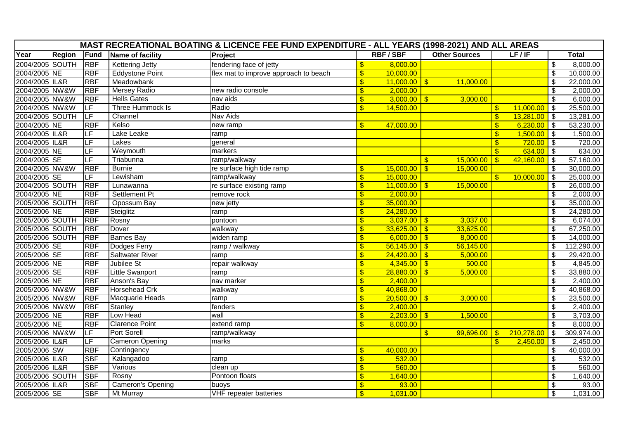| MAST RECREATIONAL BOATING & LICENCE FEE FUND EXPENDITURE - ALL YEARS (1998-2021) AND ALL AREAS |               |            |                          |                                       |                          |                |                         |                |                           |                |                            |              |
|------------------------------------------------------------------------------------------------|---------------|------------|--------------------------|---------------------------------------|--------------------------|----------------|-------------------------|----------------|---------------------------|----------------|----------------------------|--------------|
| Year                                                                                           | <b>Region</b> | Fund       | Name of facility         | Project                               |                          | <b>RBF/SBF</b> | <b>Other Sources</b>    |                |                           | LF/IF          |                            | <b>Total</b> |
| 2004/2005 SOUTH                                                                                |               | <b>RBF</b> | <b>Kettering Jetty</b>   | fendering face of jetty               | $\frac{1}{2}$            | 8,000.00       |                         |                |                           |                | \$                         | 8,000.00     |
| 2004/2005 NE                                                                                   |               | <b>RBF</b> | <b>Eddystone Point</b>   | flex mat to improve approach to beach | $\frac{1}{2}$            | 10,000.00      |                         |                |                           |                | $\boldsymbol{\mathsf{\$}}$ | 10,000.00    |
| 2004/2005 IL&R                                                                                 |               | <b>RBF</b> | Meadowbank               |                                       | $\frac{1}{2}$            | $11,000.00$ \$ |                         | 11,000.00      |                           |                | \$                         | 22,000.00    |
| 2004/2005 NW&W                                                                                 |               | <b>RBF</b> | <b>Mersey Radio</b>      | new radio console                     | $\overline{\mathbf{S}}$  | 2,000.00       |                         |                |                           |                | $\overline{\mathcal{S}}$   | 2,000.00     |
| 2004/2005 NW&W                                                                                 |               | <b>RBF</b> | <b>Hells Gates</b>       | nav aids                              | $\sqrt[6]{\frac{1}{2}}$  | $3,000.00$ \$  |                         | 3,000.00       |                           |                | $\overline{\mathcal{S}}$   | 6,000.00     |
| 2004/2005 NW&W                                                                                 |               | LF         | Three Hummock Is         | Radio                                 | $\overline{\mathbf{S}}$  | 14,500.00      |                         |                | $\mathbf{\$}$             | 11,000.00      | \$                         | 25,500.00    |
| 2004/2005 SOUTH                                                                                |               | LF         | Channel                  | Nav Aids                              |                          |                |                         |                | $\sqrt[6]{3}$             | $13,281.00$ \$ |                            | 13,281.00    |
| 2004/2005 NE                                                                                   |               | <b>RBF</b> | Kelso                    | new ramp                              | $\sqrt[6]{\frac{1}{2}}$  | 47,000.00      |                         |                | $\sqrt[6]{3}$             | 6,230.00       | $\vert$ \$                 | 53,230.00    |
| 2004/2005 IL&R                                                                                 |               | ΙĿΕ        | Lake Leake               | ramp                                  |                          |                |                         |                | $\mathbf{\$}$             | $1,500.00$ \$  |                            | 1,500.00     |
| 2004/2005 IL&R                                                                                 |               | LF         | Lakes                    | general                               |                          |                |                         |                | $\boldsymbol{\mathsf{S}}$ | 720.00         | $\overline{\phantom{a}}$   | 720.00       |
| 2004/2005 NE                                                                                   |               | LF         | Weymouth                 | markers                               |                          |                |                         |                | $\mathbf{\$}$             | $634.00$ \$    |                            | 634.00       |
| 2004/2005 SE                                                                                   |               | LF         | Triabunna                | ramp/walkway                          |                          |                | $\sqrt[3]{3}$           | 15,000.00      | $\sqrt[3]{3}$             | $42,160.00$ \$ |                            | 57,160.00    |
| 2004/2005 NW&W                                                                                 |               | <b>RBF</b> | <b>Burnie</b>            | re surface high tide ramp             | $\mathbf{\$}$            | 15,000.00      | $\overline{\mathsf{S}}$ | 15,000.00      |                           |                | \$                         | 30,000.00    |
| 2004/2005 SE                                                                                   |               | LF         | Lewisham                 | ramp/walkway                          | $\overline{\mathcal{S}}$ | 15,000.00      |                         |                | $\mathbf{\$}$             | 10,000.00      | \$                         | 25,000.00    |
| 2004/2005 SOUTH                                                                                |               | <b>RBF</b> | Lunawanna                | re surface existing ramp              | $\overline{\mathcal{S}}$ | $11,000.00$ \$ |                         | 15,000.00      |                           |                | \$                         | 26,000.00    |
| 2004/2005 NE                                                                                   |               | <b>RBF</b> | Settlement Pt            | remove rock                           | $\sqrt[6]{\frac{1}{2}}$  | 2,000.00       |                         |                |                           |                | $\boldsymbol{\mathsf{\$}}$ | 2,000.00     |
| 2005/2006 SOUTH                                                                                |               | <b>RBF</b> | Opossum Bay              | new jetty                             | $\sqrt[6]{\frac{1}{2}}$  | 35,000.00      |                         |                |                           |                | \$                         | 35,000.00    |
| 2005/2006 NE                                                                                   |               | <b>RBF</b> | Steiglitz                | ramp                                  | $\sqrt[6]{\frac{1}{2}}$  | 24,280.00      |                         |                |                           |                | $\boldsymbol{\mathsf{S}}$  | 24,280.00    |
| 2005/2006 SOUTH                                                                                |               | <b>RBF</b> | Rosny                    | pontoon                               | $\sqrt[6]{\frac{1}{2}}$  | $3,037.00$ \$  |                         | 3,037.00       |                           |                | $\boldsymbol{\mathsf{\$}}$ | 6,074.00     |
| 2005/2006 SOUTH                                                                                |               | <b>RBF</b> | Dover                    | walkway                               | $\overline{\mathbf{S}}$  | $33,625.00$ \$ |                         | 33,625.00      |                           |                | $\sqrt[6]{\frac{1}{2}}$    | 67,250.00    |
| 2005/2006 SOUTH                                                                                |               | <b>RBF</b> | <b>Barnes Bay</b>        | widen ramp                            | $\sqrt[6]{3}$            | $6,000.00$ \$  |                         | 8,000.00       |                           |                | \$                         | 14,000.00    |
| 2005/2006 SE                                                                                   |               | <b>RBF</b> | Dodges Ferry             | ramp / walkway                        | $\frac{1}{2}$            | 56,145.00      | $\sqrt{3}$              | 56,145.00      |                           |                | $\overline{\mathfrak{s}}$  | 112,290.00   |
| 2005/2006 SE                                                                                   |               | <b>RBF</b> | <b>Saltwater River</b>   | ramp                                  | $\sqrt[6]{\frac{1}{2}}$  | 24,420.00      | $\sqrt{3}$              | 5,000.00       |                           |                | $\sqrt[6]{\frac{1}{2}}$    | 29,420.00    |
| 2005/2006 NE                                                                                   |               | <b>RBF</b> | Jubilee St               | repair walkway                        | $\overline{\mathsf{S}}$  | 4,345.00       | $\sqrt{3}$              | 500.00         |                           |                | \$                         | 4,845.00     |
| 2005/2006 SE                                                                                   |               | <b>RBF</b> | <b>Little Swanport</b>   | ramp                                  | $\overline{\$}$          | $28,880.00$ \$ |                         | 5,000.00       |                           |                | $\sqrt[6]{\frac{1}{2}}$    | 33,880.00    |
| 2005/2006 NE                                                                                   |               | <b>RBF</b> | Anson's Bay              | nav marker                            | $\sqrt[6]{\frac{1}{2}}$  | 2,400.00       |                         |                |                           |                | $\sqrt[6]{\frac{1}{2}}$    | 2,400.00     |
| 2005/2006 NW&W                                                                                 |               | <b>RBF</b> | <b>Horsehead Crk</b>     | walkway                               | $\overline{\mathbf{S}}$  | 40,868.00      |                         |                |                           |                | \$                         | 40,868.00    |
| 2005/2006 NW&W                                                                                 |               | <b>RBF</b> | Macquarie Heads          | ramp                                  | $\overline{\mathcal{S}}$ | 20,500.00      | $\mathsf{I}$            | 3,000.00       |                           |                | $\boldsymbol{\mathsf{S}}$  | 23,500.00    |
| 2005/2006 NW&W                                                                                 |               | <b>RBF</b> | Stanley                  | fenders                               | $\sqrt[6]{3}$            | 2,400.00       |                         |                |                           |                | \$                         | 2,400.00     |
| 2005/2006 NE                                                                                   |               | <b>RBF</b> | Low Head                 | wall                                  | $\overline{\mathbf{S}}$  | $2,203.00$ \$  |                         | 1,500.00       |                           |                | \$                         | 3,703.00     |
| 2005/2006 NE                                                                                   |               | <b>RBF</b> | <b>Clarence Point</b>    | extend ramp                           | $\mathbf{\$}$            | 8,000.00       |                         |                |                           |                | $\overline{\mathcal{S}}$   | 8,000.00     |
| 2005/2006 NW&W                                                                                 |               | LF         | Port Sorell              | ramp/walkway                          |                          |                | $\sqrt[6]{3}$           | $99,696.00$ \$ |                           | 210,278.00     | \$                         | 309,974.00   |
| 2005/2006 IL&R<br>2005/2006 SW                                                                 |               | LF         | <b>Cameron Opening</b>   | marks                                 |                          |                |                         |                | $\mathbf{\$}$             | 2,450.00       | $\sqrt[6]{3}$              | 2,450.00     |
|                                                                                                |               | <b>RBF</b> | Contingency              |                                       | $\frac{1}{2}$            | 40,000.00      |                         |                |                           |                | \$                         | 40,000.00    |
| 2005/2006 IL&R                                                                                 |               | <b>SBF</b> | Kalangadoo               | ramp                                  | $\overline{\mathcal{S}}$ | 532.00         |                         |                |                           |                | $\overline{\mathfrak{s}}$  | 532.00       |
| 2005/2006 IL&R                                                                                 |               | <b>SBF</b> | Various                  | clean up                              | $\sqrt[6]{\frac{1}{2}}$  | 560.00         |                         |                |                           |                | $\sqrt[6]{\frac{1}{2}}$    | 560.00       |
| 2005/2006 SOUTH                                                                                |               | <b>SBF</b> | Rosny                    | Pontoon floats                        | $\overline{\mathbf{S}}$  | 1,640.00       |                         |                |                           |                | $\overline{\mathfrak{s}}$  | 1,640.00     |
| 2005/2006 IL&R<br>2005/2006 SE                                                                 |               | <b>SBF</b> | <b>Cameron's Opening</b> | buoys                                 | $\mathbf{\$}$            | 93.00          |                         |                |                           |                | \$                         | 93.00        |
|                                                                                                |               | <b>SBF</b> | <b>Mt Murray</b>         | VHF repeater batteries                | $\mathsf{\$}$            | 1,031.00       |                         |                |                           |                | $\sqrt[6]{\frac{1}{2}}$    | 1,031.00     |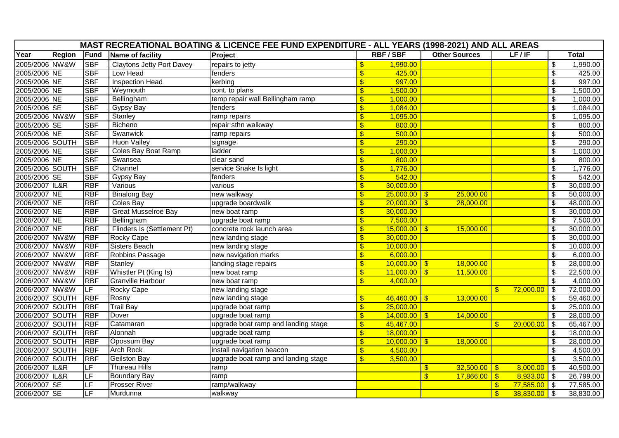|                 |               |            |                                  | MAST RECREATIONAL BOATING & LICENCE FEE FUND EXPENDITURE - ALL YEARS (1998-2021) AND ALL AREAS |                          |                |                         |                      |                      |                |                                        |              |
|-----------------|---------------|------------|----------------------------------|------------------------------------------------------------------------------------------------|--------------------------|----------------|-------------------------|----------------------|----------------------|----------------|----------------------------------------|--------------|
| Year            | <b>Region</b> | Fund       | Name of facility                 | Project                                                                                        |                          | <b>RBF/SBF</b> |                         | <b>Other Sources</b> |                      | LF/IF          |                                        | <b>Total</b> |
| 2005/2006 NW&W  |               | <b>SBF</b> | <b>Claytons Jetty Port Davey</b> | repairs to jetty                                                                               | $\frac{1}{2}$            | 1,990.00       |                         |                      |                      |                | $\overline{\mathcal{S}}$               | 1,990.00     |
| 2005/2006 NE    |               | <b>SBF</b> | Low Head                         | fenders                                                                                        | $\frac{1}{2}$            | 425.00         |                         |                      |                      |                | $\sqrt[6]{\frac{1}{2}}$                | 425.00       |
| 2005/2006 NE    |               | <b>SBF</b> | <b>Inspection Head</b>           | kerbing                                                                                        | $\frac{1}{2}$            | 997.00         |                         |                      |                      |                | $\overline{\boldsymbol{\mathfrak{s}}}$ | 997.00       |
| 2005/2006 NE    |               | <b>SBF</b> | Weymouth                         | cont. to plans                                                                                 | $\sqrt[6]{\frac{1}{2}}$  | 1,500.00       |                         |                      |                      |                | $\sqrt[6]{\frac{1}{2}}$                | 1,500.00     |
| 2005/2006 NE    |               | <b>SBF</b> | Bellingham                       | temp repair wall Bellingham ramp                                                               | $\sqrt{3}$               | 1,000.00       |                         |                      |                      |                | $\overline{\$}$                        | 1,000.00     |
| 2005/2006 SE    |               | <b>SBF</b> | Gypsy Bay                        | fenders                                                                                        | $\frac{1}{2}$            | 1,084.00       |                         |                      |                      |                | $\overline{\$}$                        | 1,084.00     |
| 2005/2006 NW&W  |               | <b>SBF</b> | Stanley                          | ramp repairs                                                                                   | $\overline{\mathcal{S}}$ | 1,095.00       |                         |                      |                      |                | $\overline{\boldsymbol{\mathfrak{s}}}$ | 1,095.00     |
| 2005/2006 SE    |               | <b>SBF</b> | Bicheno                          | repair sthn walkway                                                                            | $\sqrt{3}$               | 800.00         |                         |                      |                      |                | $\sqrt[6]{\frac{1}{2}}$                | 800.00       |
| 2005/2006 NE    |               | <b>SBF</b> | Swanwick                         | ramp repairs                                                                                   | $\overline{\mathcal{S}}$ | 500.00         |                         |                      |                      |                | $\overline{\boldsymbol{\mathfrak{s}}}$ | 500.00       |
| 2005/2006 SOUTH |               | <b>SBF</b> | <b>Huon Valley</b>               | signage                                                                                        | $\sqrt{3}$               | 290.00         |                         |                      |                      |                | $\overline{\$}$                        | 290.00       |
| 2005/2006 NE    |               | <b>SBF</b> | Coles Bay Boat Ramp              | ladder                                                                                         | $\overline{\mathcal{S}}$ | 1,000.00       |                         |                      |                      |                | $\overline{\boldsymbol{\mathfrak{s}}}$ | 1,000.00     |
| 2005/2006 NE    |               | <b>SBF</b> | Swansea                          | clear sand                                                                                     | $\overline{\$}$          | 800.00         |                         |                      |                      |                | $\sqrt[6]{\frac{1}{2}}$                | 800.00       |
| 2005/2006 SOUTH |               | <b>SBF</b> | Channel                          | service Snake Is light                                                                         | $\sqrt[6]{\frac{1}{2}}$  | 1,776.00       |                         |                      |                      |                | $\boldsymbol{\mathsf{S}}$              | 1,776.00     |
| 2005/2006 SE    |               | <b>SBF</b> | Gypsy Bay                        | fenders                                                                                        | $\overline{\mathbf{S}}$  | 542.00         |                         |                      |                      |                | $\overline{\mathcal{S}}$               | 542.00       |
| 2006/2007 IL&R  |               | <b>RBF</b> | Various                          | various                                                                                        | $\overline{\mathbf{S}}$  | 30,000.00      |                         |                      |                      |                | $\overline{\boldsymbol{\mathfrak{s}}}$ | 30,000.00    |
| 2006/2007 NE    |               | <b>RBF</b> | <b>Binalong Bay</b>              | new walkway                                                                                    | $\sqrt[6]{3}$            | $25,000.00$ \$ |                         | 25,000.00            |                      |                | $\overline{\boldsymbol{\mathfrak{s}}}$ | 50,000.00    |
| 2006/2007 NE    |               | <b>RBF</b> | Coles Bay                        | upgrade boardwalk                                                                              | $\overline{\mathcal{S}}$ | $20,000.00$ \$ |                         | 28,000.00            |                      |                | $\overline{\boldsymbol{\mathfrak{s}}}$ | 48,000.00    |
| 2006/2007 NE    |               | <b>RBF</b> | <b>Great Musselroe Bay</b>       | new boat ramp                                                                                  | $\sqrt[6]{\frac{1}{2}}$  | 30,000.00      |                         |                      |                      |                | $\sqrt[6]{\frac{1}{2}}$                | 30,000.00    |
| 2006/2007 NE    |               | <b>RBF</b> | Bellingham                       | upgrade boat ramp                                                                              | $\overline{\mathcal{S}}$ | 7,500.00       |                         |                      |                      |                | $\overline{\mathcal{S}}$               | 7,500.00     |
| 2006/2007 NE    |               | <b>RBF</b> | Flinders Is (Settlement Pt)      | concrete rock launch area                                                                      | $\sqrt[6]{\frac{1}{2}}$  | $15,000.00$ \$ |                         | 15,000.00            |                      |                | $\sqrt[6]{\frac{1}{2}}$                | 30,000.00    |
| 2006/2007 NW&W  |               | <b>RBF</b> | <b>Rocky Cape</b>                | new landing stage                                                                              | $\frac{1}{2}$            | 30,000.00      |                         |                      |                      |                | $\overline{\boldsymbol{\mathfrak{s}}}$ | 30,000.00    |
| 2006/2007 NW&W  |               | <b>RBF</b> | <b>Sisters Beach</b>             | new landing stage                                                                              | $\sqrt[6]{3}$            | 10,000.00      |                         |                      |                      |                | \$                                     | 10,000.00    |
| 2006/2007 NW&W  |               | <b>RBF</b> | Robbins Passage                  | new navigation marks                                                                           | $\sqrt[6]{\frac{1}{2}}$  | 6,000.00       |                         |                      |                      |                | $\overline{\mathfrak{s}}$              | 6,000.00     |
| 2006/2007 NW&W  |               | <b>RBF</b> | Stanley                          | landing stage repairs                                                                          | $\overline{\mathcal{S}}$ | $10,000.00$ \$ |                         | 18,000.00            |                      |                | $\overline{\mathcal{S}}$               | 28,000.00    |
| 2006/2007 NW&W  |               | <b>RBF</b> | Whistler Pt (King Is)            | new boat ramp                                                                                  | $\overline{\mathbf{S}}$  | $11,000.00$ \$ |                         | 11,500.00            |                      |                | $\sqrt[6]{\frac{1}{2}}$                | 22,500.00    |
| 2006/2007 NW&W  |               | <b>RBF</b> | <b>Granville Harbour</b>         | new boat ramp                                                                                  | $\mathbf{\$}$            | 4,000.00       |                         |                      |                      |                | $\mathfrak{S}$                         | 4,000.00     |
| 2006/2007 NW&W  |               | LF         | <b>Rocky Cape</b>                | new landing stage                                                                              |                          |                |                         |                      | $\mathbf{\$}$        | $72,000.00$ \$ |                                        | 72,000.00    |
| 2006/2007 SOUTH |               | <b>RBF</b> | Rosny                            | new landing stage                                                                              | $\sqrt[6]{\frac{1}{2}}$  | 46,460.00      | $\overline{1s}$         | 13,000.00            |                      |                | \$                                     | 59,460.00    |
| 2006/2007 SOUTH |               | <b>RBF</b> | <b>Trail Bay</b>                 | upgrade boat ramp                                                                              | $\overline{\mathcal{S}}$ | 25,000.00      |                         |                      |                      |                | $\overline{\boldsymbol{\mathfrak{s}}}$ | 25,000.00    |
| 2006/2007 SOUTH |               | <b>RBF</b> | Dover                            | upgrade boat ramp                                                                              | $\overline{\mathbf{S}}$  | $14,000.00$ \$ |                         | 14,000.00            |                      |                | \$                                     | 28,000.00    |
| 2006/2007 SOUTH |               | <b>RBF</b> | Catamaran                        | upgrade boat ramp and landing stage                                                            | $\sqrt[6]{\frac{1}{2}}$  | 45,467.00      |                         |                      | $\mathbb{S}$         | 20,000.00      | $\sqrt[6]{3}$                          | 65,467.00    |
| 2006/2007 SOUTH |               | <b>RBF</b> | Alonnah                          | upgrade boat ramp                                                                              | $\sqrt[6]{3}$            | 18,000.00      |                         |                      |                      |                | \$                                     | 18,000.00    |
| 2006/2007 SOUTH |               | <b>RBF</b> | Opossum Bay                      | upgrade boat ramp                                                                              | $\overline{\mathcal{S}}$ | $10,000.00$ \$ |                         | 18,000.00            |                      |                | $\sqrt[6]{\frac{1}{2}}$                | 28,000.00    |
| 2006/2007 SOUTH |               | <b>RBF</b> | <b>Arch Rock</b>                 | install navigation beacon                                                                      | $\sqrt[6]{\frac{1}{2}}$  | 4,500.00       |                         |                      |                      |                | \$                                     | 4,500.00     |
| 2006/2007 SOUTH |               | <b>RBF</b> | <b>Geilston Bay</b>              | upgrade boat ramp and landing stage                                                            | $\overline{\mathbf{S}}$  | 3,500.00       |                         |                      |                      |                | $\overline{\mathcal{S}}$               | 3,500.00     |
| 2006/2007 IL&R  |               | LF         | <b>Thureau Hills</b>             | ramp                                                                                           |                          |                | $\mathbf{\$}$           | $32,500.00$ \ \$     |                      | 8,000.00       | $\mathfrak{S}$                         | 40,500.00    |
| 2006/2007 IL&R  |               | LF         | <b>Boundary Bay</b>              | ramp                                                                                           |                          |                | $\overline{\mathbf{S}}$ | 17,866.00            | $\overline{\bullet}$ | $8,933.00$ \$  |                                        | 26,799.00    |
| 2006/2007 SE    |               | LF         | <b>Prosser River</b>             | ramp/walkway                                                                                   |                          |                |                         |                      | $\mathbf{\$}$        | $77,585.00$ \$ |                                        | 77,585.00    |
| 2006/2007 SE    |               | LF         | Murdunna                         | walkway                                                                                        |                          |                |                         |                      | $\sqrt[6]{3}$        | 38,830.00      | $\sqrt[6]{3}$                          | 38,830.00    |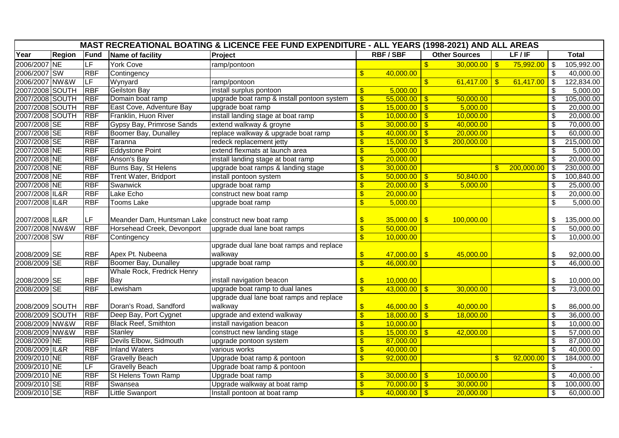| <b>MAST RECREATIONAL BOATING &amp; LICENCE FEE FUND EXPENDITURE - ALL YEARS (1998-2021) AND ALL AREAS</b> |        |            |                                                      |                                            |                           |                  |                         |                      |               |                |                            |              |
|-----------------------------------------------------------------------------------------------------------|--------|------------|------------------------------------------------------|--------------------------------------------|---------------------------|------------------|-------------------------|----------------------|---------------|----------------|----------------------------|--------------|
| Year                                                                                                      | Region | Fund       | Name of facility                                     | Project                                    |                           | <b>RBF/SBF</b>   |                         | <b>Other Sources</b> |               | LF/IF          |                            | <b>Total</b> |
| 2006/2007 NE                                                                                              |        | LF         | <b>York Cove</b>                                     | ramp/pontoon                               |                           |                  | $\mathbf{\$}$           | $30,000.00$ \$       |               | $75,992.00$ \$ |                            | 105,992.00   |
| 2006/2007 SW                                                                                              |        | <b>RBF</b> | Contingency                                          |                                            | $\mathbf{\$}$             | 40,000.00        |                         |                      |               |                | \$                         | 40,000.00    |
| 2006/2007 NW&W                                                                                            |        | LF         | Wynyard                                              | ramp/pontoon                               |                           |                  | $\mathbf{\$}$           | $61,417.00$ \$       |               | 61,417.00      | \$                         | 122,834.00   |
| 2007/2008 SOUTH                                                                                           |        | <b>RBF</b> | <b>Geilston Bay</b>                                  | install surplus pontoon                    | \$                        | 5,000.00         |                         |                      |               |                | \$                         | 5,000.00     |
| 2007/2008 SOUTH                                                                                           |        | <b>RBF</b> | Domain boat ramp                                     | upgrade boat ramp & install pontoon system | $\mathfrak{F}$            | $55,000.00$ \ \$ |                         | 50,000.00            |               |                | \$                         | 105,000.00   |
| 2007/2008 SOUTH                                                                                           |        | <b>RBF</b> | East Cove, Adventure Bay                             | upgrade boat ramp                          | $\sqrt[6]{3}$             | $15,000.00$ \$   |                         | 5,000.00             |               |                | $\overline{\mathfrak{s}}$  | 20,000.00    |
| 2007/2008 SOUTH                                                                                           |        | <b>RBF</b> | Franklin, Huon River                                 | install landing stage at boat ramp         | $\overline{\mathbf{S}}$   | $10,000.00$ \$   |                         | 10,000.00            |               |                | $\boldsymbol{\mathsf{\$}}$ | 20,000.00    |
| 2007/2008 SE                                                                                              |        | <b>RBF</b> | Gypsy Bay, Primrose Sands                            | extend walkway & groyne                    | $\sqrt[6]{3}$             | 30,000.00        | $\overline{\bullet}$    | 40,000.00            |               |                | $\overline{\mathfrak{s}}$  | 70,000.00    |
| 2007/2008 SE                                                                                              |        | <b>RBF</b> | Boomer Bay, Dunalley                                 | replace walkway & upgrade boat ramp        | $\sqrt[6]{3}$             | 40,000.00        | $\overline{\bullet}$    | 20,000.00            |               |                | $\overline{\mathcal{S}}$   | 60,000.00    |
| 2007/2008 SE                                                                                              |        | <b>RBF</b> | Taranna                                              | redeck replacement jetty                   | $\sqrt[6]{3}$             | 15,000.00        | $\sqrt{3}$              | 200,000.00           |               |                | $\overline{\mathbf{s}}$    | 215,000.00   |
| 2007/2008 NE                                                                                              |        | <b>RBF</b> | <b>Eddystone Point</b>                               | extend flexmats at launch area             | $\boldsymbol{\mathsf{s}}$ | 5,000.00         |                         |                      |               |                | $\overline{\$}$            | 5,000.00     |
| 2007/2008 NE                                                                                              |        | <b>RBF</b> | Anson's Bay                                          | install landing stage at boat ramp         | $\sqrt{3}$                | 20,000.00        |                         |                      |               |                | $\sqrt[6]{\frac{1}{2}}$    | 20,000.00    |
| 2007/2008 NE                                                                                              |        | <b>RBF</b> | Burns Bay, St Helens                                 | upgrade boat ramps & landing stage         | $\overline{\mathcal{S}}$  | 30,000.00        |                         |                      | $\mathbf{s}$  | 200,000.00     | \$                         | 230,000.00   |
| 2007/2008 NE                                                                                              |        | <b>RBF</b> | <b>Trent Water, Bridport</b>                         | install pontoon system                     | $\overline{\mathbf{S}}$   | 50,000.00        | $\sqrt[6]{3}$           | 50,840.00            |               |                | \$                         | 100,840.00   |
| 2007/2008 NE                                                                                              |        | <b>RBF</b> | Swanwick                                             | upgrade boat ramp                          | $\overline{\mathbf{S}}$   | $20,000.00$ \$   |                         | 5,000.00             |               |                | $\overline{\mathcal{S}}$   | 25,000.00    |
| 2007/2008 IL&R                                                                                            |        | <b>RBF</b> | Lake Echo                                            | construct new boat ramp                    | $\frac{1}{2}$             | 20,000.00        |                         |                      |               |                | $\overline{\mathfrak{s}}$  | 20,000.00    |
| 2007/2008 IL&R                                                                                            |        | <b>RBF</b> | <b>Tooms Lake</b>                                    | upgrade boat ramp                          | $\overline{\mathbf{S}}$   | 5,000.00         |                         |                      |               |                | $\overline{\mathcal{S}}$   | 5,000.00     |
|                                                                                                           |        |            |                                                      |                                            |                           |                  |                         |                      |               |                |                            |              |
| 2007/2008 IL&R                                                                                            |        | LF         | Meander Dam, Huntsman Lake   construct new boat ramp |                                            | $\frac{1}{2}$             | $35,000.00$ \$   |                         | 100,000.00           |               |                | \$                         | 135,000.00   |
| 2007/2008 NW&W                                                                                            |        | <b>RBF</b> | Horsehead Creek, Devonport                           | upgrade dual lane boat ramps               | $\sqrt[6]{3}$             | 50,000.00        |                         |                      |               |                | $\overline{\mathcal{S}}$   | 50,000.00    |
| 2007/2008 SW                                                                                              |        | <b>RBF</b> | Contingency                                          |                                            | $\sqrt[6]{3}$             | 10,000.00        |                         |                      |               |                | $\overline{\mathcal{S}}$   | 10,000.00    |
|                                                                                                           |        |            |                                                      | upgrade dual lane boat ramps and replace   |                           |                  |                         |                      |               |                |                            |              |
| 2008/2009 SE                                                                                              |        | <b>RBF</b> | Apex Pt. Nubeena                                     | walkway                                    | $\sqrt[6]{3}$             | $47,000.00$ \$   |                         | 45,000.00            |               |                | \$                         | 92,000.00    |
| 2008/2009 SE                                                                                              |        | <b>RBF</b> | Boomer Bay, Dunalley                                 | upgrade boat ramp                          | $\overline{\mathbb{S}}$   | 46,000.00        |                         |                      |               |                | $\overline{\mathcal{S}}$   | 46,000.00    |
|                                                                                                           |        |            | Whale Rock, Fredrick Henry                           |                                            |                           |                  |                         |                      |               |                |                            |              |
| 2008/2009 SE                                                                                              |        | <b>RBF</b> | Bay                                                  | install navigation beacon                  | $\sqrt[6]{3}$             | 10,000.00        |                         |                      |               |                | \$                         | 10,000.00    |
| 2008/2009 SE                                                                                              |        | <b>RBF</b> | Lewisham                                             | upgrade boat ramp to dual lanes            | $\sqrt[6]{3}$             | 43,000.00        | $\mathbf{\mathfrak{F}}$ | 30,000.00            |               |                | $\overline{\mathcal{S}}$   | 73,000.00    |
|                                                                                                           |        |            |                                                      | upgrade dual lane boat ramps and replace   |                           |                  |                         |                      |               |                |                            |              |
| 2008/2009 SOUTH                                                                                           |        | <b>RBF</b> | Doran's Road, Sandford                               | walkway                                    | $\frac{1}{2}$             | 46,000.00        | $\sqrt{ }$              | 40,000.00            |               |                | \$                         | 86,000.00    |
| 2008/2009 SOUTH                                                                                           |        | <b>RBF</b> | Deep Bay, Port Cygnet                                | upgrade and extend walkway                 | $\sqrt[6]{3}$             | 18,000.00        | $\overline{\mathbf{3}}$ | 18,000.00            |               |                | $\overline{\$}$            | 36,000.00    |
| 2008/2009 NW&W                                                                                            |        | <b>RBF</b> | <b>Black Reef, Smithton</b>                          | install navigation beacon                  | $\mathbf{\$}$             | 10,000.00        |                         |                      |               |                | $\overline{\mathcal{S}}$   | 10,000.00    |
| 2008/2009 NW&W                                                                                            |        | <b>RBF</b> | Stanley                                              | construct new landing stage                | $\frac{1}{2}$             | $15,000.00$ \$   |                         | 42,000.00            |               |                | $\overline{\mathfrak{s}}$  | 57,000.00    |
| 2008/2009 NE                                                                                              |        | <b>RBF</b> | Devils Elbow, Sidmouth                               | upgrade pontoon system                     | $\overline{\mathbf{S}}$   | 87,000.00        |                         |                      |               |                | $\boldsymbol{\mathsf{\$}}$ | 87,000.00    |
| 2008/2009 IL&R                                                                                            |        | <b>RBF</b> | <b>Inland Waters</b>                                 | various works                              | $\sqrt[6]{3}$             | 40,000.00        |                         |                      |               |                | $\boldsymbol{\mathsf{\$}}$ | 40,000.00    |
| 2009/2010 NE                                                                                              |        | <b>RBF</b> | <b>Gravelly Beach</b>                                | Upgrade boat ramp & pontoon                | $\sqrt[6]{3}$             | 92,000.00        |                         |                      | $\mathbf{\$}$ | 92,000.00      | $\overline{\mathcal{S}}$   | 184,000.00   |
| 2009/2010 NE                                                                                              |        | LF         | <b>Gravelly Beach</b>                                | Upgrade boat ramp & pontoon                |                           |                  |                         |                      |               |                | $\sqrt[6]{\frac{1}{2}}$    |              |
| 2009/2010 NE                                                                                              |        | <b>RBF</b> | <b>St Helens Town Ramp</b>                           | Upgrade boat ramp                          | $\sqrt[6]{3}$             | $30,000.00$ \$   |                         | 10,000.00            |               |                | \$                         | 40,000.00    |
| 2009/2010 SE                                                                                              |        | <b>RBF</b> | Swansea                                              | Upgrade walkway at boat ramp               | $\frac{1}{2}$             | 70,000.00        | $\sqrt{3}$              | 30,000.00            |               |                | $\boldsymbol{\mathsf{S}}$  | 100,000.00   |
| 2009/2010 SE                                                                                              |        | <b>RBF</b> | <b>Little Swanport</b>                               | Install pontoon at boat ramp               | $\mathbf{\$}$             | $40,000.00$ \$   |                         | 20,000.00            |               |                | $\overline{\mathbf{s}}$    | 60,000.00    |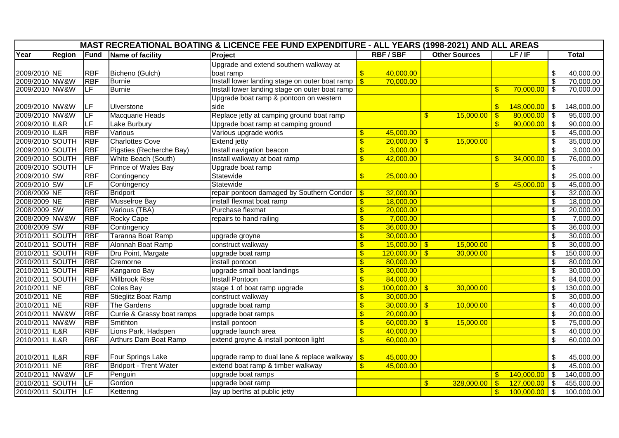| Year<br><b>RBF/SBF</b><br><b>Other Sources</b><br>LF/IF<br><b>Total</b><br><b>Region</b><br>Fund<br>Name of facility<br>Project<br>Upgrade and extend southern walkway at<br>2009/2010 NE<br><b>RBF</b><br>Bicheno (Gulch)<br>boat ramp<br>40,000.00<br>\$<br>\$.<br>2009/2010 NW&W<br>70,000.00<br><b>RBF</b><br>Install lower landing stage on outer boat ramp<br>$\overline{\mathbb{S}}$<br>\$<br><b>Burnie</b><br>2009/2010 NW&W<br>ΙLF<br>Install lower landing stage on outer boat ramp<br>70,000.00<br>$\overline{\boldsymbol{\theta}}$<br><b>Burnie</b><br>$\mathfrak{L}$<br>Upgrade boat ramp & pontoon on western<br><b>ILF</b><br>2009/2010 NW&W<br>side<br>Ulverstone<br>$\sqrt[6]{3}$<br>148,000.00<br>\$<br>2009/2010 NW&W<br>ΙLΕ<br>Replace jetty at camping ground boat ramp<br>$\mathcal{S}$<br>Macquarie Heads<br>$\mathbf{S}$<br>$\mathbf{\$}$<br>15,000.00<br>80,000.00<br>2009/2010 IL&R<br>$\overline{\mathbf{3}}$<br>$\overline{\mathsf{LF}}$<br><b>Lake Burbury</b><br>Jpgrade boat ramp at camping ground<br>$\mathsf{\$}$<br>90,000.00<br>2009/2010 IL&R<br>$\overline{\mathbf{S}}$<br>45,000.00<br>\$<br><b>RBF</b><br>Various<br>Various upgrade works<br>2009/2010 SOUTH<br><b>Charlottes Cove</b><br><b>RBF</b><br>15,000.00<br>\$<br><b>Extend jetty</b><br>\$<br>20,000.00<br>$\mathbb{S}$<br>2009/2010 SOUTH<br><b>RBF</b><br>Pigsties (Recherche Bay)<br>3,000.00<br>$\overline{\mathcal{S}}$<br>Install navigation beacon<br>$\mathbf{S}$<br>2009/2010 SOUTH<br>White Beach (South)<br>Install walkway at boat ramp<br>42,000.00<br>$\sqrt[6]{3}$<br><b>RBF</b><br>$\mathbf{\$}$<br>$\mathbb{S}$<br>34,000.00<br>2009/2010 SOUTH<br>Prince of Wales Bay<br>ILF.<br>Upgrade boat ramp<br>\$<br>2009/2010 SW<br>Statewide<br>$\overline{\mathbf{3}}$<br><b>RBF</b><br>$\mathbf{S}$<br>25,000.00<br>Contingency<br>2009/2010 SW<br>LF<br>Statewide<br>Contingency<br>45,000.00<br>$\sqrt[6]{\frac{1}{2}}$<br>$\mathfrak{L}$<br>2008/2009 NE<br><b>RBF</b><br>32,000.00<br>$\overline{\mathcal{E}}$<br><b>Bridport</b><br>repair pontoon damaged by Southern Condor<br>\$<br>2008/2009 NE<br><b>Musselroe Bay</b><br>install flexmat boat ramp<br>$\overline{\mathcal{G}}$<br><b>RBF</b><br>18,000.00<br>\$<br>2008/2009 SW<br><b>RBF</b><br>Various (TBA)<br>Purchase flexmat<br>20,000.00<br>$\overline{\mathbf{S}}$<br>\$<br>2008/2009 NW&W<br><b>RBF</b><br>7,000.00<br>$\overline{\mathcal{S}}$<br><b>Rocky Cape</b><br>\$<br>repairs to hand railing<br>2008/2009 SW<br><b>RBF</b><br>$\overline{\mathbb{S}}$<br>Contingency<br>\$<br>36,000.00<br>2010/2011 SOUTH<br><b>RBF</b><br>Taranna Boat Ramp<br>30,000.00<br>$\overline{\mathcal{S}}$<br>upgrade groyne<br>$\mathbf{\mathfrak{F}}$<br>Alonnah Boat Ramp<br>2010/2011 SOUTH<br><b>RBF</b><br>construct walkway<br>15,000.00<br>15,000.00<br>\$<br>\$<br>$\sqrt[6]{3}$<br><b>RBF</b><br>$\overline{\mathbf{s}}$<br>$\overline{\mathbf{S}}$<br>2010/2011 SOUTH<br>Dru Point, Margate<br>\$<br>120,000.00<br>30,000.00<br>upgrade boat ramp<br>2010/2011 SOUTH<br><b>RBF</b><br>80,000.00<br>$\overline{\mathcal{S}}$<br>Cremorne<br>install pontoon<br>\$<br>2010/2011 SOUTH<br><b>RBF</b><br>upgrade small boat landings<br>$\frac{1}{2}$<br>30,000.00<br>\$<br>Kangaroo Bay<br>2010/2011 SOUTH<br>$\overline{\mathcal{S}}$<br><b>RBF</b><br><b>Millbrook Rise</b><br><b>Install Pontoon</b><br>$\mathbf{\$}$<br>84,000.00<br>2010/2011 NE<br><b>Coles Bay</b><br>stage 1 of boat ramp upgrade<br>100,000.00<br><b>RBF</b><br>$\overline{\mathbf{S}}$<br>$\mathbf{\$}$<br>30,000.00<br>\$<br>$\overline{\mathcal{S}}$<br>2010/2011 NE<br><b>RBF</b><br><b>Stieglitz Boat Ramp</b><br>$\overline{\mathbf{S}}$<br>construct walkway<br>30,000.00<br>2010/2011 NE<br>10,000.00<br><b>RBF</b><br>30,000.00<br>$\overline{\mathcal{S}}$<br>The Gardens<br>upgrade boat ramp<br>\$<br>$\mathfrak{F}$<br>2010/2011 NW&W<br>Currie & Grassy boat ramps<br>$\overline{\mathbb{S}}$<br>$\overline{\mathbf{s}}$<br><b>RBF</b><br>upgrade boat ramps<br>20,000.00<br>2010/2011 NW&W<br>$\overline{\$}$<br><b>RBF</b><br>install pontoon<br>Smithton<br>\$<br>60,000.00<br>$\mathbf{\$}$<br>15,000.00 |                |            |                     | <b>MAST RECREATIONAL BOATING &amp; LICENCE FEE FUND EXPENDITURE - ALL YEARS (1998-2021) AND ALL AREAS</b> |                 |  |  |                         |            |
|--------------------------------------------------------------------------------------------------------------------------------------------------------------------------------------------------------------------------------------------------------------------------------------------------------------------------------------------------------------------------------------------------------------------------------------------------------------------------------------------------------------------------------------------------------------------------------------------------------------------------------------------------------------------------------------------------------------------------------------------------------------------------------------------------------------------------------------------------------------------------------------------------------------------------------------------------------------------------------------------------------------------------------------------------------------------------------------------------------------------------------------------------------------------------------------------------------------------------------------------------------------------------------------------------------------------------------------------------------------------------------------------------------------------------------------------------------------------------------------------------------------------------------------------------------------------------------------------------------------------------------------------------------------------------------------------------------------------------------------------------------------------------------------------------------------------------------------------------------------------------------------------------------------------------------------------------------------------------------------------------------------------------------------------------------------------------------------------------------------------------------------------------------------------------------------------------------------------------------------------------------------------------------------------------------------------------------------------------------------------------------------------------------------------------------------------------------------------------------------------------------------------------------------------------------------------------------------------------------------------------------------------------------------------------------------------------------------------------------------------------------------------------------------------------------------------------------------------------------------------------------------------------------------------------------------------------------------------------------------------------------------------------------------------------------------------------------------------------------------------------------------------------------------------------------------------------------------------------------------------------------------------------------------------------------------------------------------------------------------------------------------------------------------------------------------------------------------------------------------------------------------------------------------------------------------------------------------------------------------------------------------------------------------------------------------------------------------------------------------------------------------------------------------------------------------------------------------------------------------------------------------------------------------------------------------------------------------------------------------------------------------------------------------------------------------------------------------------------------------------------------------------------------------------------------------|----------------|------------|---------------------|-----------------------------------------------------------------------------------------------------------|-----------------|--|--|-------------------------|------------|
|                                                                                                                                                                                                                                                                                                                                                                                                                                                                                                                                                                                                                                                                                                                                                                                                                                                                                                                                                                                                                                                                                                                                                                                                                                                                                                                                                                                                                                                                                                                                                                                                                                                                                                                                                                                                                                                                                                                                                                                                                                                                                                                                                                                                                                                                                                                                                                                                                                                                                                                                                                                                                                                                                                                                                                                                                                                                                                                                                                                                                                                                                                                                                                                                                                                                                                                                                                                                                                                                                                                                                                                                                                                                                                                                                                                                                                                                                                                                                                                                                                                                                                                                                                                      |                |            |                     |                                                                                                           |                 |  |  |                         |            |
|                                                                                                                                                                                                                                                                                                                                                                                                                                                                                                                                                                                                                                                                                                                                                                                                                                                                                                                                                                                                                                                                                                                                                                                                                                                                                                                                                                                                                                                                                                                                                                                                                                                                                                                                                                                                                                                                                                                                                                                                                                                                                                                                                                                                                                                                                                                                                                                                                                                                                                                                                                                                                                                                                                                                                                                                                                                                                                                                                                                                                                                                                                                                                                                                                                                                                                                                                                                                                                                                                                                                                                                                                                                                                                                                                                                                                                                                                                                                                                                                                                                                                                                                                                                      |                |            |                     |                                                                                                           |                 |  |  |                         |            |
|                                                                                                                                                                                                                                                                                                                                                                                                                                                                                                                                                                                                                                                                                                                                                                                                                                                                                                                                                                                                                                                                                                                                                                                                                                                                                                                                                                                                                                                                                                                                                                                                                                                                                                                                                                                                                                                                                                                                                                                                                                                                                                                                                                                                                                                                                                                                                                                                                                                                                                                                                                                                                                                                                                                                                                                                                                                                                                                                                                                                                                                                                                                                                                                                                                                                                                                                                                                                                                                                                                                                                                                                                                                                                                                                                                                                                                                                                                                                                                                                                                                                                                                                                                                      |                |            |                     |                                                                                                           |                 |  |  |                         | 40,000.00  |
|                                                                                                                                                                                                                                                                                                                                                                                                                                                                                                                                                                                                                                                                                                                                                                                                                                                                                                                                                                                                                                                                                                                                                                                                                                                                                                                                                                                                                                                                                                                                                                                                                                                                                                                                                                                                                                                                                                                                                                                                                                                                                                                                                                                                                                                                                                                                                                                                                                                                                                                                                                                                                                                                                                                                                                                                                                                                                                                                                                                                                                                                                                                                                                                                                                                                                                                                                                                                                                                                                                                                                                                                                                                                                                                                                                                                                                                                                                                                                                                                                                                                                                                                                                                      |                |            |                     |                                                                                                           |                 |  |  |                         | 70,000.00  |
|                                                                                                                                                                                                                                                                                                                                                                                                                                                                                                                                                                                                                                                                                                                                                                                                                                                                                                                                                                                                                                                                                                                                                                                                                                                                                                                                                                                                                                                                                                                                                                                                                                                                                                                                                                                                                                                                                                                                                                                                                                                                                                                                                                                                                                                                                                                                                                                                                                                                                                                                                                                                                                                                                                                                                                                                                                                                                                                                                                                                                                                                                                                                                                                                                                                                                                                                                                                                                                                                                                                                                                                                                                                                                                                                                                                                                                                                                                                                                                                                                                                                                                                                                                                      |                |            |                     |                                                                                                           |                 |  |  |                         | 70,000.00  |
|                                                                                                                                                                                                                                                                                                                                                                                                                                                                                                                                                                                                                                                                                                                                                                                                                                                                                                                                                                                                                                                                                                                                                                                                                                                                                                                                                                                                                                                                                                                                                                                                                                                                                                                                                                                                                                                                                                                                                                                                                                                                                                                                                                                                                                                                                                                                                                                                                                                                                                                                                                                                                                                                                                                                                                                                                                                                                                                                                                                                                                                                                                                                                                                                                                                                                                                                                                                                                                                                                                                                                                                                                                                                                                                                                                                                                                                                                                                                                                                                                                                                                                                                                                                      |                |            |                     |                                                                                                           |                 |  |  |                         |            |
|                                                                                                                                                                                                                                                                                                                                                                                                                                                                                                                                                                                                                                                                                                                                                                                                                                                                                                                                                                                                                                                                                                                                                                                                                                                                                                                                                                                                                                                                                                                                                                                                                                                                                                                                                                                                                                                                                                                                                                                                                                                                                                                                                                                                                                                                                                                                                                                                                                                                                                                                                                                                                                                                                                                                                                                                                                                                                                                                                                                                                                                                                                                                                                                                                                                                                                                                                                                                                                                                                                                                                                                                                                                                                                                                                                                                                                                                                                                                                                                                                                                                                                                                                                                      |                |            |                     |                                                                                                           |                 |  |  |                         | 148,000.00 |
|                                                                                                                                                                                                                                                                                                                                                                                                                                                                                                                                                                                                                                                                                                                                                                                                                                                                                                                                                                                                                                                                                                                                                                                                                                                                                                                                                                                                                                                                                                                                                                                                                                                                                                                                                                                                                                                                                                                                                                                                                                                                                                                                                                                                                                                                                                                                                                                                                                                                                                                                                                                                                                                                                                                                                                                                                                                                                                                                                                                                                                                                                                                                                                                                                                                                                                                                                                                                                                                                                                                                                                                                                                                                                                                                                                                                                                                                                                                                                                                                                                                                                                                                                                                      |                |            |                     |                                                                                                           |                 |  |  |                         | 95,000.00  |
|                                                                                                                                                                                                                                                                                                                                                                                                                                                                                                                                                                                                                                                                                                                                                                                                                                                                                                                                                                                                                                                                                                                                                                                                                                                                                                                                                                                                                                                                                                                                                                                                                                                                                                                                                                                                                                                                                                                                                                                                                                                                                                                                                                                                                                                                                                                                                                                                                                                                                                                                                                                                                                                                                                                                                                                                                                                                                                                                                                                                                                                                                                                                                                                                                                                                                                                                                                                                                                                                                                                                                                                                                                                                                                                                                                                                                                                                                                                                                                                                                                                                                                                                                                                      |                |            |                     |                                                                                                           |                 |  |  |                         | 90,000.00  |
|                                                                                                                                                                                                                                                                                                                                                                                                                                                                                                                                                                                                                                                                                                                                                                                                                                                                                                                                                                                                                                                                                                                                                                                                                                                                                                                                                                                                                                                                                                                                                                                                                                                                                                                                                                                                                                                                                                                                                                                                                                                                                                                                                                                                                                                                                                                                                                                                                                                                                                                                                                                                                                                                                                                                                                                                                                                                                                                                                                                                                                                                                                                                                                                                                                                                                                                                                                                                                                                                                                                                                                                                                                                                                                                                                                                                                                                                                                                                                                                                                                                                                                                                                                                      |                |            |                     |                                                                                                           |                 |  |  |                         | 45,000.00  |
|                                                                                                                                                                                                                                                                                                                                                                                                                                                                                                                                                                                                                                                                                                                                                                                                                                                                                                                                                                                                                                                                                                                                                                                                                                                                                                                                                                                                                                                                                                                                                                                                                                                                                                                                                                                                                                                                                                                                                                                                                                                                                                                                                                                                                                                                                                                                                                                                                                                                                                                                                                                                                                                                                                                                                                                                                                                                                                                                                                                                                                                                                                                                                                                                                                                                                                                                                                                                                                                                                                                                                                                                                                                                                                                                                                                                                                                                                                                                                                                                                                                                                                                                                                                      |                |            |                     |                                                                                                           |                 |  |  |                         | 35,000.00  |
|                                                                                                                                                                                                                                                                                                                                                                                                                                                                                                                                                                                                                                                                                                                                                                                                                                                                                                                                                                                                                                                                                                                                                                                                                                                                                                                                                                                                                                                                                                                                                                                                                                                                                                                                                                                                                                                                                                                                                                                                                                                                                                                                                                                                                                                                                                                                                                                                                                                                                                                                                                                                                                                                                                                                                                                                                                                                                                                                                                                                                                                                                                                                                                                                                                                                                                                                                                                                                                                                                                                                                                                                                                                                                                                                                                                                                                                                                                                                                                                                                                                                                                                                                                                      |                |            |                     |                                                                                                           |                 |  |  |                         | 3,000.00   |
|                                                                                                                                                                                                                                                                                                                                                                                                                                                                                                                                                                                                                                                                                                                                                                                                                                                                                                                                                                                                                                                                                                                                                                                                                                                                                                                                                                                                                                                                                                                                                                                                                                                                                                                                                                                                                                                                                                                                                                                                                                                                                                                                                                                                                                                                                                                                                                                                                                                                                                                                                                                                                                                                                                                                                                                                                                                                                                                                                                                                                                                                                                                                                                                                                                                                                                                                                                                                                                                                                                                                                                                                                                                                                                                                                                                                                                                                                                                                                                                                                                                                                                                                                                                      |                |            |                     |                                                                                                           |                 |  |  |                         | 76,000.00  |
|                                                                                                                                                                                                                                                                                                                                                                                                                                                                                                                                                                                                                                                                                                                                                                                                                                                                                                                                                                                                                                                                                                                                                                                                                                                                                                                                                                                                                                                                                                                                                                                                                                                                                                                                                                                                                                                                                                                                                                                                                                                                                                                                                                                                                                                                                                                                                                                                                                                                                                                                                                                                                                                                                                                                                                                                                                                                                                                                                                                                                                                                                                                                                                                                                                                                                                                                                                                                                                                                                                                                                                                                                                                                                                                                                                                                                                                                                                                                                                                                                                                                                                                                                                                      |                |            |                     |                                                                                                           |                 |  |  |                         |            |
|                                                                                                                                                                                                                                                                                                                                                                                                                                                                                                                                                                                                                                                                                                                                                                                                                                                                                                                                                                                                                                                                                                                                                                                                                                                                                                                                                                                                                                                                                                                                                                                                                                                                                                                                                                                                                                                                                                                                                                                                                                                                                                                                                                                                                                                                                                                                                                                                                                                                                                                                                                                                                                                                                                                                                                                                                                                                                                                                                                                                                                                                                                                                                                                                                                                                                                                                                                                                                                                                                                                                                                                                                                                                                                                                                                                                                                                                                                                                                                                                                                                                                                                                                                                      |                |            |                     |                                                                                                           |                 |  |  |                         | 25,000.00  |
|                                                                                                                                                                                                                                                                                                                                                                                                                                                                                                                                                                                                                                                                                                                                                                                                                                                                                                                                                                                                                                                                                                                                                                                                                                                                                                                                                                                                                                                                                                                                                                                                                                                                                                                                                                                                                                                                                                                                                                                                                                                                                                                                                                                                                                                                                                                                                                                                                                                                                                                                                                                                                                                                                                                                                                                                                                                                                                                                                                                                                                                                                                                                                                                                                                                                                                                                                                                                                                                                                                                                                                                                                                                                                                                                                                                                                                                                                                                                                                                                                                                                                                                                                                                      |                |            |                     |                                                                                                           |                 |  |  |                         | 45,000.00  |
|                                                                                                                                                                                                                                                                                                                                                                                                                                                                                                                                                                                                                                                                                                                                                                                                                                                                                                                                                                                                                                                                                                                                                                                                                                                                                                                                                                                                                                                                                                                                                                                                                                                                                                                                                                                                                                                                                                                                                                                                                                                                                                                                                                                                                                                                                                                                                                                                                                                                                                                                                                                                                                                                                                                                                                                                                                                                                                                                                                                                                                                                                                                                                                                                                                                                                                                                                                                                                                                                                                                                                                                                                                                                                                                                                                                                                                                                                                                                                                                                                                                                                                                                                                                      |                |            |                     |                                                                                                           |                 |  |  |                         | 32,000.00  |
|                                                                                                                                                                                                                                                                                                                                                                                                                                                                                                                                                                                                                                                                                                                                                                                                                                                                                                                                                                                                                                                                                                                                                                                                                                                                                                                                                                                                                                                                                                                                                                                                                                                                                                                                                                                                                                                                                                                                                                                                                                                                                                                                                                                                                                                                                                                                                                                                                                                                                                                                                                                                                                                                                                                                                                                                                                                                                                                                                                                                                                                                                                                                                                                                                                                                                                                                                                                                                                                                                                                                                                                                                                                                                                                                                                                                                                                                                                                                                                                                                                                                                                                                                                                      |                |            |                     |                                                                                                           |                 |  |  |                         | 18,000.00  |
|                                                                                                                                                                                                                                                                                                                                                                                                                                                                                                                                                                                                                                                                                                                                                                                                                                                                                                                                                                                                                                                                                                                                                                                                                                                                                                                                                                                                                                                                                                                                                                                                                                                                                                                                                                                                                                                                                                                                                                                                                                                                                                                                                                                                                                                                                                                                                                                                                                                                                                                                                                                                                                                                                                                                                                                                                                                                                                                                                                                                                                                                                                                                                                                                                                                                                                                                                                                                                                                                                                                                                                                                                                                                                                                                                                                                                                                                                                                                                                                                                                                                                                                                                                                      |                |            |                     |                                                                                                           |                 |  |  |                         | 20,000.00  |
|                                                                                                                                                                                                                                                                                                                                                                                                                                                                                                                                                                                                                                                                                                                                                                                                                                                                                                                                                                                                                                                                                                                                                                                                                                                                                                                                                                                                                                                                                                                                                                                                                                                                                                                                                                                                                                                                                                                                                                                                                                                                                                                                                                                                                                                                                                                                                                                                                                                                                                                                                                                                                                                                                                                                                                                                                                                                                                                                                                                                                                                                                                                                                                                                                                                                                                                                                                                                                                                                                                                                                                                                                                                                                                                                                                                                                                                                                                                                                                                                                                                                                                                                                                                      |                |            |                     |                                                                                                           |                 |  |  |                         | 7,000.00   |
|                                                                                                                                                                                                                                                                                                                                                                                                                                                                                                                                                                                                                                                                                                                                                                                                                                                                                                                                                                                                                                                                                                                                                                                                                                                                                                                                                                                                                                                                                                                                                                                                                                                                                                                                                                                                                                                                                                                                                                                                                                                                                                                                                                                                                                                                                                                                                                                                                                                                                                                                                                                                                                                                                                                                                                                                                                                                                                                                                                                                                                                                                                                                                                                                                                                                                                                                                                                                                                                                                                                                                                                                                                                                                                                                                                                                                                                                                                                                                                                                                                                                                                                                                                                      |                |            |                     |                                                                                                           |                 |  |  |                         | 36,000.00  |
|                                                                                                                                                                                                                                                                                                                                                                                                                                                                                                                                                                                                                                                                                                                                                                                                                                                                                                                                                                                                                                                                                                                                                                                                                                                                                                                                                                                                                                                                                                                                                                                                                                                                                                                                                                                                                                                                                                                                                                                                                                                                                                                                                                                                                                                                                                                                                                                                                                                                                                                                                                                                                                                                                                                                                                                                                                                                                                                                                                                                                                                                                                                                                                                                                                                                                                                                                                                                                                                                                                                                                                                                                                                                                                                                                                                                                                                                                                                                                                                                                                                                                                                                                                                      |                |            |                     |                                                                                                           |                 |  |  |                         | 30,000.00  |
|                                                                                                                                                                                                                                                                                                                                                                                                                                                                                                                                                                                                                                                                                                                                                                                                                                                                                                                                                                                                                                                                                                                                                                                                                                                                                                                                                                                                                                                                                                                                                                                                                                                                                                                                                                                                                                                                                                                                                                                                                                                                                                                                                                                                                                                                                                                                                                                                                                                                                                                                                                                                                                                                                                                                                                                                                                                                                                                                                                                                                                                                                                                                                                                                                                                                                                                                                                                                                                                                                                                                                                                                                                                                                                                                                                                                                                                                                                                                                                                                                                                                                                                                                                                      |                |            |                     |                                                                                                           |                 |  |  |                         | 30,000.00  |
|                                                                                                                                                                                                                                                                                                                                                                                                                                                                                                                                                                                                                                                                                                                                                                                                                                                                                                                                                                                                                                                                                                                                                                                                                                                                                                                                                                                                                                                                                                                                                                                                                                                                                                                                                                                                                                                                                                                                                                                                                                                                                                                                                                                                                                                                                                                                                                                                                                                                                                                                                                                                                                                                                                                                                                                                                                                                                                                                                                                                                                                                                                                                                                                                                                                                                                                                                                                                                                                                                                                                                                                                                                                                                                                                                                                                                                                                                                                                                                                                                                                                                                                                                                                      |                |            |                     |                                                                                                           |                 |  |  |                         | 150,000.00 |
|                                                                                                                                                                                                                                                                                                                                                                                                                                                                                                                                                                                                                                                                                                                                                                                                                                                                                                                                                                                                                                                                                                                                                                                                                                                                                                                                                                                                                                                                                                                                                                                                                                                                                                                                                                                                                                                                                                                                                                                                                                                                                                                                                                                                                                                                                                                                                                                                                                                                                                                                                                                                                                                                                                                                                                                                                                                                                                                                                                                                                                                                                                                                                                                                                                                                                                                                                                                                                                                                                                                                                                                                                                                                                                                                                                                                                                                                                                                                                                                                                                                                                                                                                                                      |                |            |                     |                                                                                                           |                 |  |  |                         | 80,000.00  |
|                                                                                                                                                                                                                                                                                                                                                                                                                                                                                                                                                                                                                                                                                                                                                                                                                                                                                                                                                                                                                                                                                                                                                                                                                                                                                                                                                                                                                                                                                                                                                                                                                                                                                                                                                                                                                                                                                                                                                                                                                                                                                                                                                                                                                                                                                                                                                                                                                                                                                                                                                                                                                                                                                                                                                                                                                                                                                                                                                                                                                                                                                                                                                                                                                                                                                                                                                                                                                                                                                                                                                                                                                                                                                                                                                                                                                                                                                                                                                                                                                                                                                                                                                                                      |                |            |                     |                                                                                                           |                 |  |  |                         | 30,000.00  |
|                                                                                                                                                                                                                                                                                                                                                                                                                                                                                                                                                                                                                                                                                                                                                                                                                                                                                                                                                                                                                                                                                                                                                                                                                                                                                                                                                                                                                                                                                                                                                                                                                                                                                                                                                                                                                                                                                                                                                                                                                                                                                                                                                                                                                                                                                                                                                                                                                                                                                                                                                                                                                                                                                                                                                                                                                                                                                                                                                                                                                                                                                                                                                                                                                                                                                                                                                                                                                                                                                                                                                                                                                                                                                                                                                                                                                                                                                                                                                                                                                                                                                                                                                                                      |                |            |                     |                                                                                                           |                 |  |  |                         | 84,000.00  |
|                                                                                                                                                                                                                                                                                                                                                                                                                                                                                                                                                                                                                                                                                                                                                                                                                                                                                                                                                                                                                                                                                                                                                                                                                                                                                                                                                                                                                                                                                                                                                                                                                                                                                                                                                                                                                                                                                                                                                                                                                                                                                                                                                                                                                                                                                                                                                                                                                                                                                                                                                                                                                                                                                                                                                                                                                                                                                                                                                                                                                                                                                                                                                                                                                                                                                                                                                                                                                                                                                                                                                                                                                                                                                                                                                                                                                                                                                                                                                                                                                                                                                                                                                                                      |                |            |                     |                                                                                                           |                 |  |  |                         | 130,000.00 |
|                                                                                                                                                                                                                                                                                                                                                                                                                                                                                                                                                                                                                                                                                                                                                                                                                                                                                                                                                                                                                                                                                                                                                                                                                                                                                                                                                                                                                                                                                                                                                                                                                                                                                                                                                                                                                                                                                                                                                                                                                                                                                                                                                                                                                                                                                                                                                                                                                                                                                                                                                                                                                                                                                                                                                                                                                                                                                                                                                                                                                                                                                                                                                                                                                                                                                                                                                                                                                                                                                                                                                                                                                                                                                                                                                                                                                                                                                                                                                                                                                                                                                                                                                                                      |                |            |                     |                                                                                                           |                 |  |  |                         | 30,000.00  |
|                                                                                                                                                                                                                                                                                                                                                                                                                                                                                                                                                                                                                                                                                                                                                                                                                                                                                                                                                                                                                                                                                                                                                                                                                                                                                                                                                                                                                                                                                                                                                                                                                                                                                                                                                                                                                                                                                                                                                                                                                                                                                                                                                                                                                                                                                                                                                                                                                                                                                                                                                                                                                                                                                                                                                                                                                                                                                                                                                                                                                                                                                                                                                                                                                                                                                                                                                                                                                                                                                                                                                                                                                                                                                                                                                                                                                                                                                                                                                                                                                                                                                                                                                                                      |                |            |                     |                                                                                                           |                 |  |  |                         | 40,000.00  |
|                                                                                                                                                                                                                                                                                                                                                                                                                                                                                                                                                                                                                                                                                                                                                                                                                                                                                                                                                                                                                                                                                                                                                                                                                                                                                                                                                                                                                                                                                                                                                                                                                                                                                                                                                                                                                                                                                                                                                                                                                                                                                                                                                                                                                                                                                                                                                                                                                                                                                                                                                                                                                                                                                                                                                                                                                                                                                                                                                                                                                                                                                                                                                                                                                                                                                                                                                                                                                                                                                                                                                                                                                                                                                                                                                                                                                                                                                                                                                                                                                                                                                                                                                                                      |                |            |                     |                                                                                                           |                 |  |  |                         | 20,000.00  |
|                                                                                                                                                                                                                                                                                                                                                                                                                                                                                                                                                                                                                                                                                                                                                                                                                                                                                                                                                                                                                                                                                                                                                                                                                                                                                                                                                                                                                                                                                                                                                                                                                                                                                                                                                                                                                                                                                                                                                                                                                                                                                                                                                                                                                                                                                                                                                                                                                                                                                                                                                                                                                                                                                                                                                                                                                                                                                                                                                                                                                                                                                                                                                                                                                                                                                                                                                                                                                                                                                                                                                                                                                                                                                                                                                                                                                                                                                                                                                                                                                                                                                                                                                                                      |                |            |                     |                                                                                                           |                 |  |  |                         | 75,000.00  |
|                                                                                                                                                                                                                                                                                                                                                                                                                                                                                                                                                                                                                                                                                                                                                                                                                                                                                                                                                                                                                                                                                                                                                                                                                                                                                                                                                                                                                                                                                                                                                                                                                                                                                                                                                                                                                                                                                                                                                                                                                                                                                                                                                                                                                                                                                                                                                                                                                                                                                                                                                                                                                                                                                                                                                                                                                                                                                                                                                                                                                                                                                                                                                                                                                                                                                                                                                                                                                                                                                                                                                                                                                                                                                                                                                                                                                                                                                                                                                                                                                                                                                                                                                                                      | 2010/2011 IL&R | <b>RBF</b> | Lions Park, Hadspen | upgrade launch area                                                                                       | \$<br>40,000.00 |  |  | $\overline{\mathbf{3}}$ | 40,000.00  |
| 2010/2011 IL&R<br>Arthurs Dam Boat Ramp<br>\$<br><b>RBF</b><br>extend groyne & install pontoon light<br>$\mathbf{\$}$<br>60,000.00                                                                                                                                                                                                                                                                                                                                                                                                                                                                                                                                                                                                                                                                                                                                                                                                                                                                                                                                                                                                                                                                                                                                                                                                                                                                                                                                                                                                                                                                                                                                                                                                                                                                                                                                                                                                                                                                                                                                                                                                                                                                                                                                                                                                                                                                                                                                                                                                                                                                                                                                                                                                                                                                                                                                                                                                                                                                                                                                                                                                                                                                                                                                                                                                                                                                                                                                                                                                                                                                                                                                                                                                                                                                                                                                                                                                                                                                                                                                                                                                                                                   |                |            |                     |                                                                                                           |                 |  |  |                         | 60,000.00  |
|                                                                                                                                                                                                                                                                                                                                                                                                                                                                                                                                                                                                                                                                                                                                                                                                                                                                                                                                                                                                                                                                                                                                                                                                                                                                                                                                                                                                                                                                                                                                                                                                                                                                                                                                                                                                                                                                                                                                                                                                                                                                                                                                                                                                                                                                                                                                                                                                                                                                                                                                                                                                                                                                                                                                                                                                                                                                                                                                                                                                                                                                                                                                                                                                                                                                                                                                                                                                                                                                                                                                                                                                                                                                                                                                                                                                                                                                                                                                                                                                                                                                                                                                                                                      |                |            |                     |                                                                                                           |                 |  |  |                         |            |
| 2010/2011 IL&R<br><b>RBF</b><br>Four Springs Lake<br>upgrade ramp to dual lane & replace walkway<br>$\mathsf{\$}$<br>45,000.00<br>\$                                                                                                                                                                                                                                                                                                                                                                                                                                                                                                                                                                                                                                                                                                                                                                                                                                                                                                                                                                                                                                                                                                                                                                                                                                                                                                                                                                                                                                                                                                                                                                                                                                                                                                                                                                                                                                                                                                                                                                                                                                                                                                                                                                                                                                                                                                                                                                                                                                                                                                                                                                                                                                                                                                                                                                                                                                                                                                                                                                                                                                                                                                                                                                                                                                                                                                                                                                                                                                                                                                                                                                                                                                                                                                                                                                                                                                                                                                                                                                                                                                                 |                |            |                     |                                                                                                           |                 |  |  |                         | 45,000.00  |
| 2010/2011 NE<br><b>Bridport - Trent Water</b><br>extend boat ramp & timber walkway<br><b>RBF</b><br>45,000.00<br>\$<br>$\mathbf{\$}$                                                                                                                                                                                                                                                                                                                                                                                                                                                                                                                                                                                                                                                                                                                                                                                                                                                                                                                                                                                                                                                                                                                                                                                                                                                                                                                                                                                                                                                                                                                                                                                                                                                                                                                                                                                                                                                                                                                                                                                                                                                                                                                                                                                                                                                                                                                                                                                                                                                                                                                                                                                                                                                                                                                                                                                                                                                                                                                                                                                                                                                                                                                                                                                                                                                                                                                                                                                                                                                                                                                                                                                                                                                                                                                                                                                                                                                                                                                                                                                                                                                 |                |            |                     |                                                                                                           |                 |  |  |                         | 45,000.00  |
| 2010/2011 NW&W<br>$\overline{\mathbf{s}}$<br>$\overline{\mathsf{LF}}$<br>Penguin<br>140,000.00<br>upgrade boat ramps<br><b>S</b>                                                                                                                                                                                                                                                                                                                                                                                                                                                                                                                                                                                                                                                                                                                                                                                                                                                                                                                                                                                                                                                                                                                                                                                                                                                                                                                                                                                                                                                                                                                                                                                                                                                                                                                                                                                                                                                                                                                                                                                                                                                                                                                                                                                                                                                                                                                                                                                                                                                                                                                                                                                                                                                                                                                                                                                                                                                                                                                                                                                                                                                                                                                                                                                                                                                                                                                                                                                                                                                                                                                                                                                                                                                                                                                                                                                                                                                                                                                                                                                                                                                     |                |            |                     |                                                                                                           |                 |  |  |                         | 140,000.00 |
| 2010/2011 SOUTH<br><b>ILF</b><br>Gordon<br>upgrade boat ramp<br>$\boldsymbol{\mathsf{S}}$<br>328,000.00<br>$\mathbf{\$}$<br>127,000.00<br>$\sqrt{3}$                                                                                                                                                                                                                                                                                                                                                                                                                                                                                                                                                                                                                                                                                                                                                                                                                                                                                                                                                                                                                                                                                                                                                                                                                                                                                                                                                                                                                                                                                                                                                                                                                                                                                                                                                                                                                                                                                                                                                                                                                                                                                                                                                                                                                                                                                                                                                                                                                                                                                                                                                                                                                                                                                                                                                                                                                                                                                                                                                                                                                                                                                                                                                                                                                                                                                                                                                                                                                                                                                                                                                                                                                                                                                                                                                                                                                                                                                                                                                                                                                                 |                |            |                     |                                                                                                           |                 |  |  |                         | 455,000.00 |
| 2010/2011 SOUTH<br><b>LF</b><br>lay up berths at public jetty<br>\$<br>Kettering<br>$\frac{1}{2}$<br>100,000.00                                                                                                                                                                                                                                                                                                                                                                                                                                                                                                                                                                                                                                                                                                                                                                                                                                                                                                                                                                                                                                                                                                                                                                                                                                                                                                                                                                                                                                                                                                                                                                                                                                                                                                                                                                                                                                                                                                                                                                                                                                                                                                                                                                                                                                                                                                                                                                                                                                                                                                                                                                                                                                                                                                                                                                                                                                                                                                                                                                                                                                                                                                                                                                                                                                                                                                                                                                                                                                                                                                                                                                                                                                                                                                                                                                                                                                                                                                                                                                                                                                                                      |                |            |                     |                                                                                                           |                 |  |  |                         | 100,000.00 |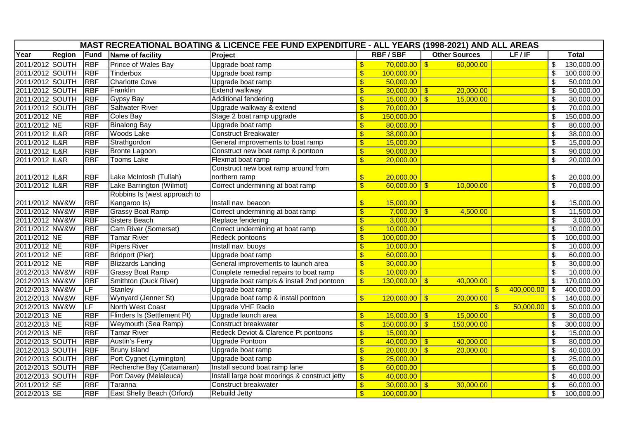| MAST RECREATIONAL BOATING & LICENCE FEE FUND EXPENDITURE - ALL YEARS (1998-2021) AND ALL AREAS |               |            |                                   |                                               |                           |                 |                         |                      |                                 |                            |              |
|------------------------------------------------------------------------------------------------|---------------|------------|-----------------------------------|-----------------------------------------------|---------------------------|-----------------|-------------------------|----------------------|---------------------------------|----------------------------|--------------|
| Year                                                                                           | <b>Region</b> | Fund       | Name of facility                  | Project                                       |                           | <b>RBF/SBF</b>  |                         | <b>Other Sources</b> | LF/IF                           |                            | <b>Total</b> |
| 2011/2012 SOUTH                                                                                |               | <b>RBF</b> | Prince of Wales Bay               | Upgrade boat ramp                             | $\mathbf{S}$              | 70,000.00       | $\sqrt{3}$              | 60,000.00            |                                 | \$                         | 130,000.00   |
| 2011/2012 SOUTH                                                                                |               | <b>RBF</b> | Tinderbox                         | Upgrade boat ramp                             | $\sqrt[6]{\frac{1}{2}}$   | 100,000.00      |                         |                      |                                 | $\boldsymbol{\mathsf{\$}}$ | 100,000.00   |
| 2011/2012 SOUTH                                                                                |               | <b>RBF</b> | <b>Charlotte Cove</b>             | Upgrade boat ramp                             | $\sqrt[6]{3}$             | 50,000.00       |                         |                      |                                 | \$                         | 50,000.00    |
| 2011/2012 SOUTH                                                                                |               | <b>RBF</b> | Franklin                          | Extend walkway                                | $\overline{\mathbf{S}}$   | 30,000.00       | $\sqrt{3}$              | 20,000.00            |                                 | $\overline{\mathbf{s}}$    | 50,000.00    |
| 2011/2012 SOUTH                                                                                |               | <b>RBF</b> | <b>Gypsy Bay</b>                  | Additional fendering                          | $\overline{\mathbf{s}}$   | 15,000.00       | $\overline{\bullet}$    | 15,000.00            |                                 | $\overline{\mathbf{s}}$    | 30,000.00    |
| 2011/2012 SOUTH                                                                                |               | <b>RBF</b> | <b>Saltwater River</b>            | Upgrade walkway & extend                      | $\overline{\mathbf{S}}$   | 70,000.00       |                         |                      |                                 | $\overline{\$}$            | 70,000.00    |
| 2011/2012 NE                                                                                   |               | <b>RBF</b> | Coles Bay                         | Stage 2 boat ramp upgrade                     | $\sqrt[6]{\frac{1}{2}}$   | 150,000.00      |                         |                      |                                 | $\boldsymbol{\mathsf{S}}$  | 150,000.00   |
| 2011/2012 NE                                                                                   |               | <b>RBF</b> | <b>Binalong Bay</b>               | Upgrade boat ramp                             | $\sqrt[6]{3}$             | 80,000.00       |                         |                      |                                 | $\sqrt[6]{\frac{1}{2}}$    | 80,000.00    |
| 2011/2012 IL&R                                                                                 |               | <b>RBF</b> | <b>Woods Lake</b>                 | <b>Construct Breakwater</b>                   | $\overline{\mathcal{S}}$  | 38,000.00       |                         |                      |                                 | $\overline{\mathbf{S}}$    | 38,000.00    |
| 2011/2012 IL&R                                                                                 |               | <b>RBF</b> | Strathgordon                      | General improvements to boat ramp             | $\overline{\mathbf{s}}$   | 15,000.00       |                         |                      |                                 | $\overline{\mathcal{S}}$   | 15,000.00    |
| 2011/2012 IL&R                                                                                 |               | <b>RBF</b> | <b>Bronte Lagoon</b>              | Construct new boat ramp & pontoon             | $\frac{1}{2}$             | 90,000.00       |                         |                      |                                 | $\overline{\mathfrak{s}}$  | 90,000.00    |
| 2011/2012 IL&R                                                                                 |               | <b>RBF</b> | <b>Tooms Lake</b>                 | Flexmat boat ramp                             | $\mathsf{\$}$             | 20,000.00       |                         |                      |                                 | $\mathfrak{L}$             | 20,000.00    |
|                                                                                                |               |            |                                   | Construct new boat ramp around from           |                           |                 |                         |                      |                                 |                            |              |
| 2011/2012 IL&R                                                                                 |               | <b>RBF</b> | Lake McIntosh (Tullah)            | northern ramp                                 | $\frac{1}{2}$             | 20,000.00       |                         |                      |                                 | \$                         | 20,000.00    |
| 2011/2012 IL&R                                                                                 |               | <b>RBF</b> | Lake Barrington (Wilmot)          | Correct undermining at boat ramp              | $\overline{\mathcal{S}}$  | $60,000.00$ \$  |                         | 10,000.00            |                                 | $\overline{\mathcal{S}}$   | 70,000.00    |
|                                                                                                |               |            | Robbins Is (west approach to      |                                               |                           |                 |                         |                      |                                 |                            |              |
| 2011/2012 NW&W                                                                                 |               | <b>RBF</b> | Kangaroo Is)                      | Install nav. beacon                           | $\sqrt[6]{3}$             | 15,000.00       |                         |                      |                                 | \$                         | 15,000.00    |
| 2011/2012 NW&W                                                                                 |               | <b>RBF</b> | <b>Grassy Boat Ramp</b>           | Correct undermining at boat ramp              | $\overline{\mathbf{s}}$   | 7,000.00        | $\overline{\bullet}$    | 4,500.00             |                                 | $\overline{\mathbf{3}}$    | 11,500.00    |
| 2011/2012 NW&W                                                                                 |               | <b>RBF</b> | Sisters Beach                     | Replace fendering                             | $\overline{\mathbf{S}}$   | 3,000.00        |                         |                      |                                 | $\boldsymbol{\mathsf{\$}}$ | 3,000.00     |
| 2011/2012 NW&W                                                                                 |               | <b>RBF</b> | Cam River (Somerset)              | Correct undermining at boat ramp              | $\overline{\mathbf{S}}$   | 10,000.00       |                         |                      |                                 | $\overline{\mathcal{S}}$   | 10,000.00    |
| 2011/2012 NE                                                                                   |               | <b>RBF</b> | <b>Tamar River</b>                | Redeck pontoons                               | $\boldsymbol{\mathsf{s}}$ | 100,000.00      |                         |                      |                                 | s)                         | 100,000.00   |
| 2011/2012 NE                                                                                   |               | <b>RBF</b> | <b>Pipers River</b>               | Install nav. buoys                            | $\overline{\mathcal{S}}$  | 10,000.00       |                         |                      |                                 | $\overline{\mathfrak{s}}$  | 10,000.00    |
| 2011/2012 NE                                                                                   |               | <b>RBF</b> | <b>Bridport (Pier)</b>            | Upgrade boat ramp                             | $\overline{\mathbf{S}}$   | 60,000.00       |                         |                      |                                 | $\boldsymbol{\mathsf{\$}}$ | 60,000.00    |
| 2011/2012 NE                                                                                   |               | <b>RBF</b> | <b>Blizzards Landing</b>          | General improvements to launch area           | $\sqrt[6]{3}$             | 30,000.00       |                         |                      |                                 | \$                         | 30,000.00    |
| 2012/2013 NW&W                                                                                 |               | <b>RBF</b> | <b>Grassy Boat Ramp</b>           | Complete remedial repairs to boat ramp        | $\sqrt{3}$                | 10,000.00       |                         |                      |                                 | $\mathfrak{L}$             | 10,000.00    |
| 2012/2013 NW&W                                                                                 |               | <b>RBF</b> | Smithton (Duck River)             | Upgrade boat ramp/s & install 2nd pontoon     | $\mathbf{\hat{s}}$        | $130,000.00$ \$ |                         | 40,000.00            |                                 | $\overline{\mathcal{S}}$   | 170,000.00   |
| 2012/2013 NW&W                                                                                 |               | LF         | Stanley                           | Upgrade boat ramp                             |                           |                 |                         |                      | 400,000.00<br>$\boldsymbol{\$}$ | \$                         | 400,000.00   |
| 2012/2013 NW&W                                                                                 |               | <b>RBF</b> | Wynyard (Jenner St)               | Upgrade boat ramp & install pontoon           | $\sqrt{3}$                | 120,000.00      | $\sqrt{3}$              | 20,000.00            |                                 | $\boldsymbol{\mathsf{\$}}$ | 140,000.00   |
| 2012/2013 NW&W                                                                                 |               | <b>LF</b>  | <b>North West Coast</b>           | <b>Upgrade VHF Radio</b>                      |                           |                 |                         |                      | 50,000.00<br>$\mathbf{s}$       | \$                         | 50,000.00    |
| 2012/2013 NE                                                                                   |               | <b>RBF</b> | Flinders Is (Settlement Pt)       | Upgrade launch area                           | $\sqrt[6]{\frac{1}{2}}$   | 15,000.00       | $\sqrt{3}$              | 15,000.00            |                                 | \$                         | 30,000.00    |
| 2012/2013 NE                                                                                   |               | <b>RBF</b> | Weymouth (Sea Ramp)               | Construct breakwater                          | $\overline{\mathbb{S}}$   | 150,000.00      | $\overline{\mathbf{s}}$ | 150,000.00           |                                 | $\overline{\mathcal{S}}$   | 300,000.00   |
| 2012/2013 NE                                                                                   |               | <b>RBF</b> | <b>Tamar River</b>                | Redeck Deviot & Clarence Pt pontoons          | $\overline{\mathcal{S}}$  | 15,000.00       |                         |                      |                                 | $\overline{\mathfrak{s}}$  | 15,000.00    |
| 2012/2013 SOUTH                                                                                |               | <b>RBF</b> | <b>Austin's Ferry</b>             | Upgrade Pontoon                               | $\overline{\mathbf{S}}$   | $40,000.00$ \$  |                         | 40,000.00            |                                 | $\boldsymbol{\mathsf{\$}}$ | 80,000.00    |
| 2012/2013 SOUTH                                                                                |               | <b>RBF</b> | <b>Bruny Island</b>               | Upgrade boat ramp                             | $\sqrt[6]{\frac{1}{2}}$   | 20,000.00       | $\sqrt{3}$              | 20,000.00            |                                 | $\boldsymbol{\mathsf{S}}$  | 40,000.00    |
| 2012/2013 SOUTH                                                                                |               | <b>RBF</b> | Port Cygnet (Lymington)           | Upgrade boat ramp                             | $\overline{\mathcal{S}}$  | 25,000.00       |                         |                      |                                 | $\overline{\$}$            | 25,000.00    |
| 2012/2013 SOUTH                                                                                |               | <b>RBF</b> | Recherche Bay (Catamaran)         | Install second boat ramp lane                 | $\overline{\mathbf{S}}$   | 60,000.00       |                         |                      |                                 | $\boldsymbol{\mathsf{S}}$  | 60,000.00    |
| 2012/2013 SOUTH                                                                                |               | <b>RBF</b> | Port Davey (Melaleuca)            | Install large boat moorings & construct jetty | $\overline{\mathcal{S}}$  | 40,000.00       |                         |                      |                                 | \$                         | 40,000.00    |
| 2011/2012 SE                                                                                   |               | <b>RBF</b> | Taranna                           | Construct breakwater                          | $\sqrt[6]{\frac{1}{2}}$   | $30,000.00$ \$  |                         | 30,000.00            |                                 | $\boldsymbol{\mathsf{S}}$  | 60,000.00    |
| 2012/2013 SE                                                                                   |               | <b>RBF</b> | <b>East Shelly Beach (Orford)</b> | <b>Rebuild Jetty</b>                          | $\mathbf{\hat{s}}$        | 100,000.00      |                         |                      |                                 | $\overline{\mathcal{S}}$   | 100,000.00   |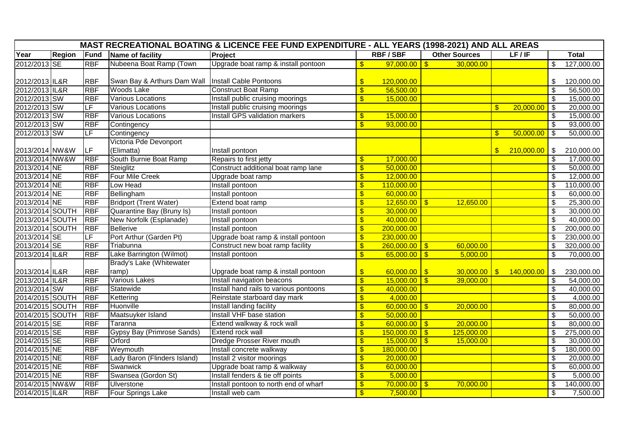| MAST RECREATIONAL BOATING & LICENCE FEE FUND EXPENDITURE - ALL YEARS (1998-2021) AND ALL AREAS |               |                          |                                                      |                                        |                           |                 |                      |  |                              |                            |                        |
|------------------------------------------------------------------------------------------------|---------------|--------------------------|------------------------------------------------------|----------------------------------------|---------------------------|-----------------|----------------------|--|------------------------------|----------------------------|------------------------|
| Year                                                                                           | <b>Region</b> | Fund                     | Name of facility                                     | Project                                |                           | <b>RBF/SBF</b>  | <b>Other Sources</b> |  | LF/IF                        |                            | <b>Total</b>           |
| 2012/2013 SE                                                                                   |               | <b>RBF</b>               | Nubeena Boat Ramp (Town                              | Upgrade boat ramp & install pontoon    | $\boldsymbol{\mathsf{s}}$ | $97,000.00$ \$  | 30,000.00            |  |                              | S                          | 127,000.00             |
|                                                                                                |               |                          |                                                      |                                        |                           |                 |                      |  |                              |                            |                        |
| 2012/2013 IL&R                                                                                 |               | <b>RBF</b>               | Swan Bay & Arthurs Dam Wall   Install Cable Pontoons |                                        | $\sqrt[6]{3}$             | 120,000.00      |                      |  |                              | \$                         | 120,000.00             |
| 2012/2013 IL&R                                                                                 |               | <b>RBF</b>               | <b>Woods Lake</b>                                    | <b>Construct Boat Ramp</b>             | $\mathbf{\$}$             | 56,500.00       |                      |  |                              | \$                         | 56,500.00              |
| 2012/2013 SW                                                                                   |               | <b>RBF</b>               | <b>Various Locations</b>                             | Install public cruising moorings       | \$                        | 15,000.00       |                      |  |                              | $\sqrt[6]{\frac{1}{2}}$    | 15,000.00              |
| 2012/2013 SW                                                                                   |               | $\overline{\mathsf{LF}}$ | Various Locations                                    | Install public cruising moorings       |                           |                 |                      |  | $\mathbb{S}$<br>20,000.00    | <b>\$</b>                  | 20,000.00              |
| 2012/2013 SW                                                                                   |               | <b>RBF</b>               | Various Locations                                    | Install GPS validation markers         | \$                        | 15,000.00       |                      |  |                              | \$                         | 15,000.00              |
| 2012/2013 SW                                                                                   |               | <b>RBF</b>               | Contingency                                          |                                        | $\overline{\$}$           | 93,000.00       |                      |  |                              | $\boldsymbol{\mathsf{\$}}$ | 93,000.00              |
| 2012/2013 SW                                                                                   |               | $\overline{\mathsf{LF}}$ | Contingency                                          |                                        |                           |                 |                      |  | $\mathfrak{F}$<br>50,000.00  | -\$                        | 50,000.00              |
|                                                                                                |               |                          | Victoria Pde Devonport                               |                                        |                           |                 |                      |  |                              |                            |                        |
| 2013/2014 NW&W                                                                                 |               | LF                       | (Elimatta)                                           | Install pontoon                        |                           |                 |                      |  | $\mathfrak{F}$<br>210,000.00 | $\vert$ \$                 | 210,000.00             |
| 2013/2014 NW&W                                                                                 |               | <b>RBF</b>               | South Burnie Boat Ramp                               | Repairs to first jetty                 | $\sqrt[6]{\frac{1}{2}}$   | 17,000.00       |                      |  |                              | \$                         | 17,000.00              |
| 2013/2014 NE                                                                                   |               | <b>RBF</b>               | Steiglitz                                            | Construct additional boat ramp lane    | $\overline{\$}$           | 50,000.00       |                      |  |                              | \$                         | 50,000.00              |
| 2013/2014 NE                                                                                   |               | <b>RBF</b>               | <b>Four Mile Creek</b>                               | Upgrade boat ramp                      | $\boldsymbol{\mathsf{s}}$ | 12,000.00       |                      |  |                              | \$                         | 12,000.00              |
| 2013/2014 NE                                                                                   |               | <b>RBF</b>               | Low Head                                             | Install pontoon                        | $\overline{\mathbb{S}}$   | 110,000.00      |                      |  |                              | \$                         | 110,000.00             |
| 2013/2014 NE                                                                                   |               | <b>RBF</b>               | Bellingham                                           | Install pontoon                        | \$                        | 60,000.00       |                      |  |                              | $\overline{\mathfrak{s}}$  | 60,000.00              |
| 2013/2014 NE                                                                                   |               | <b>RBF</b>               | <b>Bridport (Trent Water)</b>                        | Extend boat ramp                       | $\mathbf{\$}$             | $12,650.00$ \$  | 12,650.00            |  |                              | \$                         | 25,300.00              |
| 2013/2014 SOUTH                                                                                |               | <b>RBF</b>               | Quarantine Bay (Bruny Is)                            | Install pontoon                        | \$                        | 30,000.00       |                      |  |                              | $\boldsymbol{\mathsf{S}}$  | 30,000.00              |
| 2013/2014 SOUTH                                                                                |               | <b>RBF</b>               | New Norfolk (Esplanade)                              | Install pontoon                        | \$                        | 40,000.00       |                      |  |                              | \$                         | 40,000.00              |
| 2013/2014 SOUTH                                                                                |               | <b>RBF</b>               | Bellerive                                            | Install pontoon                        | $\sqrt[6]{3}$             | 200,000.00      |                      |  |                              | \$                         | 200,000.00             |
| 2013/2014 SE                                                                                   |               | LF                       | Port Arthur (Garden Pt)                              | Upgrade boat ramp & install pontoon    | $\sqrt[6]{3}$             | 230,000.00      |                      |  |                              | $\overline{\mathcal{S}}$   | 230,000.00             |
| 2013/2014 SE                                                                                   |               | <b>RBF</b>               | Triabunna                                            | Construct new boat ramp facility       | $\overline{\mathbf{S}}$   | $260,000.00$ \$ | 60,000.00            |  |                              | $\boldsymbol{\mathsf{\$}}$ | 320,000.00             |
| 2013/2014 IL&R                                                                                 |               | <b>RBF</b>               | Lake Barrington (Wilmot)                             | Install pontoon                        | $\mathbf{\$}$             | $65,000.00$ \$  | 5,000.00             |  |                              | \$                         | 70,000.00              |
|                                                                                                |               |                          | <b>Brady's Lake (Whitewater</b>                      |                                        |                           |                 |                      |  |                              |                            |                        |
| 2013/2014 IL&R                                                                                 |               | <b>RBF</b>               | ramp)                                                | Upgrade boat ramp & install pontoon    | $\sqrt[6]{3}$             | $60,000.00$ \$  | $30,000.00$ \$       |  | 140,000.00                   | \$                         | 230,000.00             |
| 2013/2014 IL&R                                                                                 |               | <b>RBF</b>               | <b>Various Lakes</b>                                 | Install navigation beacons             | $\sqrt[6]{3}$             | $15,000.00$ \$  | 39,000.00            |  |                              | $\boldsymbol{\mathsf{S}}$  | $\overline{54,000.00}$ |
| 2013/2014 SW                                                                                   |               | <b>RBF</b>               | Statewide                                            | Install hand rails to various pontoons | $\sqrt[6]{3}$             | 40,000.00       |                      |  |                              | $\boldsymbol{\mathsf{\$}}$ | 40,000.00              |
| 2014/2015 SOUTH                                                                                |               | <b>RBF</b>               | Kettering                                            | Reinstate starboard day mark           | $\sqrt[6]{3}$             | 4,000.00        |                      |  |                              | \$                         | 4,000.00               |
| 2014/2015 SOUTH                                                                                |               | <b>RBF</b>               | Huonville                                            | Install landing facility               | $\sqrt[6]{3}$             | $60,000.00$ \$  | 20,000.00            |  |                              | \$                         | 80,000.00              |
| 2014/2015 SOUTH                                                                                |               | <b>RBF</b>               | Maatsuyker Island                                    | Install VHF base station               | $\sqrt[6]{3}$             | 50,000.00       |                      |  |                              | \$                         | 50,000.00              |
| 2014/2015 SE                                                                                   |               | <b>RBF</b>               | Taranna                                              | Extend walkway & rock wall             | $\overline{\mathbb{S}}$   | $60,000.00$ \$  | 20,000.00            |  |                              | $\overline{\mathbf{s}}$    | 80,000.00              |
| 2014/2015 SE                                                                                   |               | <b>RBF</b>               | Gypsy Bay (Primrose Sands)                           | <b>Extend rock wall</b>                | \$                        | $150,000.00$ \$ | 125,000.00           |  |                              | \$                         | 275,000.00             |
| 2014/2015 SE                                                                                   |               | <b>RBF</b>               | Orford                                               | Dredge Prosser River mouth             | $\overline{\mathbf{S}}$   | $15,000.00$ \$  | 15,000.00            |  |                              | \$                         | 30,000.00              |
| 2014/2015 NE                                                                                   |               | <b>RBF</b>               | Weymouth                                             | Install concrete walkway               | \$                        | 180,000.00      |                      |  |                              | $\overline{\mathfrak{s}}$  | 180,000.00             |
| 2014/2015 NE                                                                                   |               | <b>RBF</b>               | Lady Baron (Flinders Island)                         | Install 2 visitor moorings             | $\overline{\mathcal{S}}$  | 20,000.00       |                      |  |                              | \$                         | 20,000.00              |
| 2014/2015 NE                                                                                   |               | <b>RBF</b>               | Swanwick                                             | Upgrade boat ramp & walkway            | $\sqrt[6]{3}$             | 60,000.00       |                      |  |                              | $\overline{\mathbf{S}}$    | 60,000.00              |
| 2014/2015 NE                                                                                   |               | <b>RBF</b>               | Swansea (Gordon St)                                  | Install fenders & tie off points       | \$                        | 5,000.00        |                      |  |                              | $\overline{\mathcal{S}}$   | 5,000.00               |
| 2014/2015 NW&W                                                                                 |               | <b>RBF</b>               | Ulverstone                                           | Install pontoon to north end of wharf  | $\sqrt[6]{3}$             | $70,000.00$ \$  | 70,000.00            |  |                              | \$                         | 140,000.00             |
| 2014/2015 IL&R                                                                                 |               | <b>RBF</b>               | Four Springs Lake                                    | Install web cam                        | $\mathbf{\$}$             | 7,500.00        |                      |  |                              | \$                         | 7,500.00               |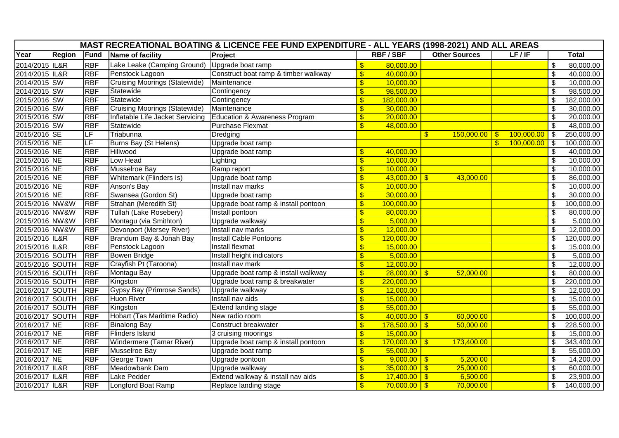| MAST RECREATIONAL BOATING & LICENCE FEE FUND EXPENDITURE - ALL YEARS (1998-2021) AND ALL AREAS |               |            |                                      |                                      |                           |                   |                                    |                                  |                                        |              |  |  |
|------------------------------------------------------------------------------------------------|---------------|------------|--------------------------------------|--------------------------------------|---------------------------|-------------------|------------------------------------|----------------------------------|----------------------------------------|--------------|--|--|
| Year                                                                                           | <b>Region</b> | Fund       | Name of facility                     | Project                              |                           | <b>RBF/SBF</b>    | <b>Other Sources</b>               | LF/IF                            |                                        | <b>Total</b> |  |  |
| 2014/2015 IL&R                                                                                 |               | <b>RBF</b> | Lake Leake (Camping Ground)          | Upgrade boat ramp                    | $\sqrt[6]{3}$             | 80,000.00         |                                    |                                  | $\boldsymbol{\mathsf{S}}$              | 80,000.00    |  |  |
| 2014/2015 IL&R                                                                                 |               | <b>RBF</b> | Penstock Lagoon                      | Construct boat ramp & timber walkway | $\sqrt[6]{3}$             | 40,000.00         |                                    |                                  | \$                                     | 40,000.00    |  |  |
| 2014/2015 SW                                                                                   |               | <b>RBF</b> | <b>Cruising Moorings (Statewide)</b> | Maintenance                          | $\overline{\mathbf{3}}$   | 10,000.00         |                                    |                                  | $\sqrt{2}$                             | 10,000.00    |  |  |
| 2014/2015 SW                                                                                   |               | <b>RBF</b> | Statewide                            | Contingency                          | $\sqrt[6]{3}$             | 98,500.00         |                                    |                                  | \$                                     | 98,500.00    |  |  |
| 2015/2016 SW                                                                                   |               | <b>RBF</b> | Statewide                            | Contingency                          | $\sqrt[6]{3}$             | 182,000.00        |                                    |                                  | \$                                     | 182,000.00   |  |  |
| 2015/2016 SW                                                                                   |               | <b>RBF</b> | <b>Cruising Moorings (Statewide)</b> | Maintenance                          | $\sqrt[6]{3}$             | 30,000.00         |                                    |                                  | \$                                     | 30,000.00    |  |  |
| 2015/2016 SW                                                                                   |               | <b>RBF</b> | Inflatable Life Jacket Servicing     | Education & Awareness Program        | $\frac{1}{2}$             | 20,000.00         |                                    |                                  | \$                                     | 20,000.00    |  |  |
| 2015/2016 SW                                                                                   |               | <b>RBF</b> | Statewide                            | <b>Purchase Flexmat</b>              | $\boldsymbol{\mathsf{S}}$ | 48,000.00         |                                    |                                  | $\overline{\mathcal{S}}$               | 48,000.00    |  |  |
| 2015/2016 SE                                                                                   |               | LF         | Triabunna                            | Dredging                             |                           |                   | 150,000.00<br>$\mathfrak{F}$       | 100,000.00<br>$\sqrt{3}$         | $\sqrt[6]{3}$                          | 250,000.00   |  |  |
| 2015/2016 NE                                                                                   |               | LF         | <b>Burns Bay (St Helens)</b>         | Upgrade boat ramp                    |                           |                   |                                    | $100,000.00$ \$<br>$\mathbf{\$}$ |                                        | 100,000.00   |  |  |
| 2015/2016 NE                                                                                   |               | <b>RBF</b> | Hillwood                             | Upgrade boat ramp                    | $\sqrt[6]{3}$             | 40,000.00         |                                    |                                  | $\sqrt[6]{\frac{1}{2}}$                | 40,000.00    |  |  |
| 2015/2016 NE                                                                                   |               | <b>RBF</b> | Low Head                             | Lighting                             | $\sqrt[6]{3}$             | 10,000.00         |                                    |                                  | \$                                     | 10,000.00    |  |  |
| 2015/2016 NE                                                                                   |               | <b>RBF</b> | <b>Musselroe Bay</b>                 | Ramp report                          | \$                        | 10,000.00         |                                    |                                  | $\boldsymbol{\mathsf{S}}$              | 10,000.00    |  |  |
| 2015/2016 NE                                                                                   |               | <b>RBF</b> | Whitemark (Flinders Is)              | Upgrade boat ramp                    | $\sqrt{3}$                | $43,000.00$ \$    | 43,000.00                          |                                  | $\sqrt[6]{\frac{1}{2}}$                | 86,000.00    |  |  |
| 2015/2016 NE                                                                                   |               | <b>RBF</b> | Anson's Bay                          | Install nav marks                    | $\sqrt[6]{3}$             | 10,000.00         |                                    |                                  | $\overline{\$}$                        | 10,000.00    |  |  |
| 2015/2016 NE                                                                                   |               | <b>RBF</b> | Swansea (Gordon St)                  | Upgrade boat ramp                    | $\frac{1}{2}$             | 30,000.00         |                                    |                                  | $\overline{\boldsymbol{\mathfrak{s}}}$ | 30,000.00    |  |  |
| 2015/2016 NW&W                                                                                 |               | <b>RBF</b> | Strahan (Meredith St)                | Upgrade boat ramp & install pontoon  | $\overline{\mathbf{S}}$   | 100,000.00        |                                    |                                  | \$                                     | 100,000.00   |  |  |
| 2015/2016 NW&W                                                                                 |               | <b>RBF</b> | Tullah (Lake Rosebery)               | Install pontoon                      | $\sqrt[6]{3}$             | 80,000.00         |                                    |                                  | \$                                     | 80,000.00    |  |  |
| 2015/2016 NW&W                                                                                 |               | <b>RBF</b> | Montagu (via Smithton)               | Upgrade walkway                      | $\sqrt[6]{3}$             | 5,000.00          |                                    |                                  | $\frac{1}{2}$                          | 5,000.00     |  |  |
| 2015/2016 NW&W                                                                                 |               | <b>RBF</b> | Devonport (Mersey River)             | Install nav marks                    | $\sqrt[6]{3}$             | 12,000.00         |                                    |                                  | \$                                     | 12,000.00    |  |  |
| 2015/2016 IL&R                                                                                 |               | <b>RBF</b> | Brandum Bay & Jonah Bay              | <b>Install Cable Pontoons</b>        | $\sqrt[6]{3}$             | 120,000.00        |                                    |                                  | $\overline{\mathcal{S}}$               | 120,000.00   |  |  |
| 2015/2016 IL&R                                                                                 |               | <b>RBF</b> | Penstock Lagoon                      | <b>Install flexmat</b>               | $\frac{1}{2}$             | 15,000.00         |                                    |                                  | $\sqrt[6]{\frac{1}{2}}$                | 15,000.00    |  |  |
| 2015/2016 SOUTH                                                                                |               | <b>RBF</b> | <b>Bowen Bridge</b>                  | Install height indicators            | \$                        | 5,000.00          |                                    |                                  | \$                                     | 5,000.00     |  |  |
| 2015/2016 SOUTH                                                                                |               | <b>RBF</b> | Crayfish Pt (Taroona)                | Install nav mark                     | $\sqrt[6]{\frac{1}{2}}$   | 12,000.00         |                                    |                                  | $\sqrt[6]{\frac{1}{2}}$                | 12,000.00    |  |  |
| 2015/2016 SOUTH                                                                                |               | <b>RBF</b> | Montagu Bay                          | Upgrade boat ramp & install walkway  | $\sqrt[6]{3}$             | $28,000.00$ \ \$  | 52,000.00                          |                                  | \$                                     | 80,000.00    |  |  |
| 2015/2016 SOUTH                                                                                |               | <b>RBF</b> | Kingston                             | Upgrade boat ramp & breakwater       | $\frac{1}{2}$             | 220,000.00        |                                    |                                  | \$                                     | 220,000.00   |  |  |
| 2016/2017 SOUTH                                                                                |               | <b>RBF</b> | Gypsy Bay (Primrose Sands)           | Upgrade walkway                      | $\sqrt{3}$                | 12,000.00         |                                    |                                  | $\sqrt[6]{\frac{1}{2}}$                | 12,000.00    |  |  |
| 2016/2017 SOUTH                                                                                |               | <b>RBF</b> | <b>Huon River</b>                    | Install nav aids                     | $\sqrt[6]{3}$             | 15,000.00         |                                    |                                  | \$                                     | 15,000.00    |  |  |
| 2016/2017 SOUTH                                                                                |               | <b>RBF</b> | Kingston                             | <b>Extend landing stage</b>          | \$                        | 55,000.00         |                                    |                                  | $\overline{\boldsymbol{\mathfrak{s}}}$ | 55,000.00    |  |  |
| 2016/2017 SOUTH                                                                                |               | <b>RBF</b> | Hobart (Tas Maritime Radio)          | New radio room                       | $\overline{\mathbf{S}}$   | $40,000.00$ \$    | 60,000.00                          |                                  | \$                                     | 100,000.00   |  |  |
| 2016/2017 NE                                                                                   |               | <b>RBF</b> | <b>Binalong Bay</b>                  | Construct breakwater                 | $\sqrt[6]{3}$             | $178,500.00$ \ \$ | 50,000.00                          |                                  | \$                                     | 228,500.00   |  |  |
| 2016/2017 NE                                                                                   |               | <b>RBF</b> | <b>Flinders Island</b>               | 3 cruising moorings                  | $\sqrt{3}$                | 15,000.00         |                                    |                                  | $\frac{1}{2}$                          | 15,000.00    |  |  |
| 2016/2017 NE                                                                                   |               | <b>RBF</b> | Windermere (Tamar River)             | Upgrade boat ramp & install pontoon  | $\sqrt[6]{\frac{1}{2}}$   | 170,000.00        | 173,400.00<br>$\overline{\bullet}$ |                                  | \$                                     | 343,400.00   |  |  |
| 2016/2017 NE                                                                                   |               | <b>RBF</b> | <b>Musselroe Bay</b>                 | Upgrade boat ramp                    | $\sqrt[6]{3}$             | 55,000.00         |                                    |                                  | $\overline{\mathcal{S}}$               | 55,000.00    |  |  |
| 2016/2017 NE                                                                                   |               | <b>RBF</b> | George Town                          | Upgrade pontoon                      | $\sqrt{3}$                | $9,000.00$ \$     | 5,200.00                           |                                  | $\sqrt[6]{\frac{1}{2}}$                | 14,200.00    |  |  |
| 2016/2017 IL&R                                                                                 |               | <b>RBF</b> | Meadowbank Dam                       | Upgrade walkway                      | $\sqrt[6]{3}$             | $35,000.00$ \$    | 25,000.00                          |                                  | \$                                     | 60,000.00    |  |  |
| 2016/2017 IL&R                                                                                 |               | <b>RBF</b> | Lake Pedder                          | Extend walkway & install nav aids    | $\sqrt[6]{\frac{1}{2}}$   | $17,400.00$ \$    | 6,500.00                           |                                  | $\sqrt[6]{\frac{1}{2}}$                | 23,900.00    |  |  |
| 2016/2017 IL&R                                                                                 |               | <b>RBF</b> | Longford Boat Ramp                   | Replace landing stage                | \$                        | $70,000.00$ \ \$  | 70,000.00                          |                                  | \$                                     | 140,000.00   |  |  |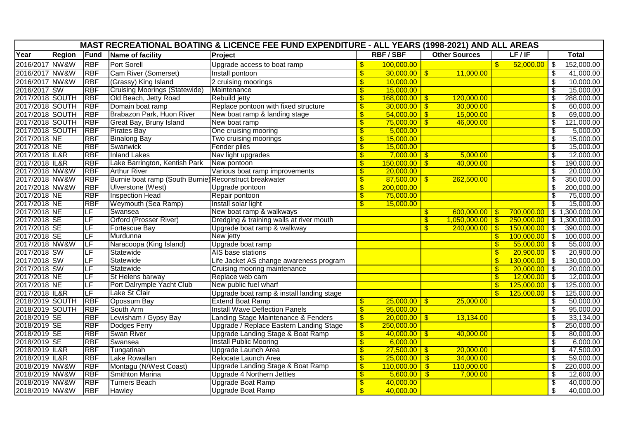| Year<br><b>RBF/SBF</b><br><b>Other Sources</b><br>LF/IF<br><b>Region</b><br>Fund<br>Project<br>Name of facility<br>2016/2017 NW&W<br><b>RBF</b><br><b>Port Sorell</b><br>$\mathbf{\hat{s}}$<br>Upgrade access to boat ramp<br>100,000.00<br>\$<br>2016/2017 NW&W<br>Cam River (Somerset)<br>\$<br>$30,000.00$ \$<br>11,000.00<br><b>RBF</b><br>Install pontoon<br>2016/2017 NW&W<br>2 cruising moorings<br>$\overline{\mathbf{S}}$<br><b>RBF</b><br>(Grassy) King Island<br>10,000.00<br>2016/2017 SW<br><b>Cruising Moorings (Statewide)</b><br><b>RBF</b><br>Maintenance<br>15,000.00<br>\$<br>2017/2018 SOUTH<br><b>RBF</b><br>Old Beach, Jetty Road<br>Rebuild jetty<br>$\overline{\mathbf{S}}$<br>$168,000.00$ \$<br>120,000.00<br>2017/2018 SOUTH<br><b>RBF</b><br>Domain boat ramp<br>30,000.00<br>Replace pontoon with fixed structure<br>\$<br>$30,000.00$ \ \$<br>2017/2018 SOUTH<br>Brabazon Park, Huon River<br><b>RBF</b><br>New boat ramp & landing stage<br>$54,000.00$ \$<br>15,000.00<br>$\mathbf{\$}$<br>2017/2018 SOUTH<br><b>RBF</b><br>Great Bay, Bruny Island<br>$75,000.00$ \$<br>46,000.00<br>New boat ramp<br>\$<br>2017/2018 SOUTH<br><b>RBF</b><br><b>Pirates Bay</b><br>5,000.00<br>One cruising mooring<br>$\mathbf{\$}$<br>2017/2018 NE<br><b>RBF</b><br>\$<br>15,000.00<br><b>Binalong Bay</b><br>Two cruising moorings | 52,000.00<br>$\sqrt{3}$<br>$\frac{1}{2}$<br>$\overline{\$}$<br>$\overline{\$}$<br>$\overline{\mathcal{S}}$<br>\$<br>$\overline{\mathcal{S}}$<br>$\overline{\mathcal{F}}$<br>$\overline{\$}$ | <b>Total</b><br>152,000.00<br>41,000.00<br>10,000.00<br>15,000.00<br>288,000.00<br>60,000.00<br>69,000.00 |
|--------------------------------------------------------------------------------------------------------------------------------------------------------------------------------------------------------------------------------------------------------------------------------------------------------------------------------------------------------------------------------------------------------------------------------------------------------------------------------------------------------------------------------------------------------------------------------------------------------------------------------------------------------------------------------------------------------------------------------------------------------------------------------------------------------------------------------------------------------------------------------------------------------------------------------------------------------------------------------------------------------------------------------------------------------------------------------------------------------------------------------------------------------------------------------------------------------------------------------------------------------------------------------------------------------------------------------------------------------|---------------------------------------------------------------------------------------------------------------------------------------------------------------------------------------------|-----------------------------------------------------------------------------------------------------------|
|                                                                                                                                                                                                                                                                                                                                                                                                                                                                                                                                                                                                                                                                                                                                                                                                                                                                                                                                                                                                                                                                                                                                                                                                                                                                                                                                                        |                                                                                                                                                                                             |                                                                                                           |
|                                                                                                                                                                                                                                                                                                                                                                                                                                                                                                                                                                                                                                                                                                                                                                                                                                                                                                                                                                                                                                                                                                                                                                                                                                                                                                                                                        |                                                                                                                                                                                             |                                                                                                           |
|                                                                                                                                                                                                                                                                                                                                                                                                                                                                                                                                                                                                                                                                                                                                                                                                                                                                                                                                                                                                                                                                                                                                                                                                                                                                                                                                                        |                                                                                                                                                                                             |                                                                                                           |
|                                                                                                                                                                                                                                                                                                                                                                                                                                                                                                                                                                                                                                                                                                                                                                                                                                                                                                                                                                                                                                                                                                                                                                                                                                                                                                                                                        |                                                                                                                                                                                             |                                                                                                           |
|                                                                                                                                                                                                                                                                                                                                                                                                                                                                                                                                                                                                                                                                                                                                                                                                                                                                                                                                                                                                                                                                                                                                                                                                                                                                                                                                                        |                                                                                                                                                                                             |                                                                                                           |
|                                                                                                                                                                                                                                                                                                                                                                                                                                                                                                                                                                                                                                                                                                                                                                                                                                                                                                                                                                                                                                                                                                                                                                                                                                                                                                                                                        |                                                                                                                                                                                             |                                                                                                           |
|                                                                                                                                                                                                                                                                                                                                                                                                                                                                                                                                                                                                                                                                                                                                                                                                                                                                                                                                                                                                                                                                                                                                                                                                                                                                                                                                                        |                                                                                                                                                                                             |                                                                                                           |
|                                                                                                                                                                                                                                                                                                                                                                                                                                                                                                                                                                                                                                                                                                                                                                                                                                                                                                                                                                                                                                                                                                                                                                                                                                                                                                                                                        |                                                                                                                                                                                             |                                                                                                           |
|                                                                                                                                                                                                                                                                                                                                                                                                                                                                                                                                                                                                                                                                                                                                                                                                                                                                                                                                                                                                                                                                                                                                                                                                                                                                                                                                                        |                                                                                                                                                                                             | 121,000.00                                                                                                |
|                                                                                                                                                                                                                                                                                                                                                                                                                                                                                                                                                                                                                                                                                                                                                                                                                                                                                                                                                                                                                                                                                                                                                                                                                                                                                                                                                        |                                                                                                                                                                                             | 5,000.00                                                                                                  |
|                                                                                                                                                                                                                                                                                                                                                                                                                                                                                                                                                                                                                                                                                                                                                                                                                                                                                                                                                                                                                                                                                                                                                                                                                                                                                                                                                        | $\overline{\mathcal{F}}$                                                                                                                                                                    | 15,000.00                                                                                                 |
| <b>RBF</b><br>2017/2018 NE<br>Fender piles<br>$\overline{\mathbf{S}}$<br>15,000.00<br>Swanwick                                                                                                                                                                                                                                                                                                                                                                                                                                                                                                                                                                                                                                                                                                                                                                                                                                                                                                                                                                                                                                                                                                                                                                                                                                                         | $\overline{\boldsymbol{\mathfrak{s}}}$                                                                                                                                                      | 15,000.00                                                                                                 |
| 2017/2018 IL&R<br><b>RBF</b><br><b>Inland Lakes</b><br>$7,000.00$ \$<br>5,000.00<br>Nav light upgrades<br>\$                                                                                                                                                                                                                                                                                                                                                                                                                                                                                                                                                                                                                                                                                                                                                                                                                                                                                                                                                                                                                                                                                                                                                                                                                                           | \$                                                                                                                                                                                          | 12,000.00                                                                                                 |
| 2017/2018 IL&R<br>Lake Barrington, Kentish Park<br><b>RBF</b><br>New pontoon<br>$\mathbf{S}$<br>$150,000.00$ \$<br>40,000.00                                                                                                                                                                                                                                                                                                                                                                                                                                                                                                                                                                                                                                                                                                                                                                                                                                                                                                                                                                                                                                                                                                                                                                                                                           | $\overline{\$}$                                                                                                                                                                             | 190,000.00                                                                                                |
| 2017/2018 NW&W<br><b>Arthur River</b><br><b>RBF</b><br>20,000.00<br>Various boat ramp improvements<br>\$                                                                                                                                                                                                                                                                                                                                                                                                                                                                                                                                                                                                                                                                                                                                                                                                                                                                                                                                                                                                                                                                                                                                                                                                                                               | -\$                                                                                                                                                                                         | 20,000.00                                                                                                 |
| 2017/2018 NW&W<br>Burnie boat ramp (South Burnie) Reconstruct breakwater<br><b>RBF</b><br>262,500.00<br>\$<br>$87,500.00$ \$                                                                                                                                                                                                                                                                                                                                                                                                                                                                                                                                                                                                                                                                                                                                                                                                                                                                                                                                                                                                                                                                                                                                                                                                                           | \$                                                                                                                                                                                          | 350,000.00                                                                                                |
| 2017/2018 NW&W<br>Ulverstone (West)<br><b>RBF</b><br>Upgrade pontoon<br>\$<br>200,000.00                                                                                                                                                                                                                                                                                                                                                                                                                                                                                                                                                                                                                                                                                                                                                                                                                                                                                                                                                                                                                                                                                                                                                                                                                                                               | -\$                                                                                                                                                                                         | 200,000.00                                                                                                |
| 2017/2018 NE<br><b>RBF</b><br><b>Inspection Head</b><br>Repair pontoon<br>75,000.00<br>$\mathbf{s}$                                                                                                                                                                                                                                                                                                                                                                                                                                                                                                                                                                                                                                                                                                                                                                                                                                                                                                                                                                                                                                                                                                                                                                                                                                                    | \$                                                                                                                                                                                          | 75,000.00                                                                                                 |
| 2017/2018 NE<br><b>RBF</b><br>Weymouth (Sea Ramp)<br>Install solar light<br>\$<br>15,000.00                                                                                                                                                                                                                                                                                                                                                                                                                                                                                                                                                                                                                                                                                                                                                                                                                                                                                                                                                                                                                                                                                                                                                                                                                                                            | \$                                                                                                                                                                                          | 15,000.00                                                                                                 |
| 2017/2018 NE<br>ΙLF<br>New boat ramp & walkways<br>600,000.00<br>Swansea<br><b>S</b><br><u>  S</u>                                                                                                                                                                                                                                                                                                                                                                                                                                                                                                                                                                                                                                                                                                                                                                                                                                                                                                                                                                                                                                                                                                                                                                                                                                                     | 700,000.00                                                                                                                                                                                  | \$1,300,000.00                                                                                            |
| 2017/2018 SE<br>Orford (Prosser River)<br>Dredging & training walls at river mouth<br>LF<br>$\sqrt[6]{3}$<br>$1,050,000.00$ \$                                                                                                                                                                                                                                                                                                                                                                                                                                                                                                                                                                                                                                                                                                                                                                                                                                                                                                                                                                                                                                                                                                                                                                                                                         | 250,000.00                                                                                                                                                                                  | \$1,300,000.00                                                                                            |
| 2017/2018 SE<br>ΙLF<br><b>Fortescue Bay</b><br>$\mathbf{S}$<br>$240,000.00$ \$<br>Upgrade boat ramp & walkway                                                                                                                                                                                                                                                                                                                                                                                                                                                                                                                                                                                                                                                                                                                                                                                                                                                                                                                                                                                                                                                                                                                                                                                                                                          | 150,000.00<br><b>\$</b>                                                                                                                                                                     | 390,000.00                                                                                                |
| 2017/2018 SE<br>LF<br>Murdunna<br>New jetty<br>-\$                                                                                                                                                                                                                                                                                                                                                                                                                                                                                                                                                                                                                                                                                                                                                                                                                                                                                                                                                                                                                                                                                                                                                                                                                                                                                                     | \$<br>100,000.00                                                                                                                                                                            | 100,000.00                                                                                                |
| 2017/2018 NW&W<br>ΙLF<br>Naracoopa (King Island)<br>Upgrade boat ramp<br>-\$                                                                                                                                                                                                                                                                                                                                                                                                                                                                                                                                                                                                                                                                                                                                                                                                                                                                                                                                                                                                                                                                                                                                                                                                                                                                           | $\sqrt{3}$<br>55,000.00                                                                                                                                                                     | 55,000.00                                                                                                 |
| AIS base stations<br>2017/2018 SW<br>ΙLF<br>Statewide<br>-\$                                                                                                                                                                                                                                                                                                                                                                                                                                                                                                                                                                                                                                                                                                                                                                                                                                                                                                                                                                                                                                                                                                                                                                                                                                                                                           | \$<br>20,900.00                                                                                                                                                                             | 20,900.00                                                                                                 |
| 2017/2018 SW<br>LF<br>Life Jacket AS change awareness program<br>Statewide<br>-\$                                                                                                                                                                                                                                                                                                                                                                                                                                                                                                                                                                                                                                                                                                                                                                                                                                                                                                                                                                                                                                                                                                                                                                                                                                                                      | 130,000.00<br><b>\$</b>                                                                                                                                                                     | 130,000.00                                                                                                |
| 2017/2018 SW<br>LF<br>Cruising mooring maintenance<br>$\mathbf{\hat{s}}$<br>Statewide                                                                                                                                                                                                                                                                                                                                                                                                                                                                                                                                                                                                                                                                                                                                                                                                                                                                                                                                                                                                                                                                                                                                                                                                                                                                  | 20,000.00<br>∣\$                                                                                                                                                                            | 20,000.00                                                                                                 |
| 2017/2018 NE<br>LF<br>St Helens barway<br>Replace web cam<br>$\sqrt[6]{3}$                                                                                                                                                                                                                                                                                                                                                                                                                                                                                                                                                                                                                                                                                                                                                                                                                                                                                                                                                                                                                                                                                                                                                                                                                                                                             | 12,000.00<br><b>\$</b>                                                                                                                                                                      | 12,000.00                                                                                                 |
| 2017/2018 NE<br>LF<br>Port Dalrymple Yacht Club<br>New public fuel wharf<br>-\$                                                                                                                                                                                                                                                                                                                                                                                                                                                                                                                                                                                                                                                                                                                                                                                                                                                                                                                                                                                                                                                                                                                                                                                                                                                                        | 125,000.00<br>$\frac{1}{2}$                                                                                                                                                                 | 125,000.00                                                                                                |
| 2017/2018 IL&R<br><b>Lake St Clair</b><br>ΙLF<br>$\mathbf{\$}$<br>Upgrade boat ramp & install landing stage                                                                                                                                                                                                                                                                                                                                                                                                                                                                                                                                                                                                                                                                                                                                                                                                                                                                                                                                                                                                                                                                                                                                                                                                                                            | \$<br>125,000.00                                                                                                                                                                            | 125,000.00                                                                                                |
| 2018/2019 SOUTH<br>$25,000.00$ \$<br><b>RBF</b><br>Opossum Bay<br><b>Extend Boat Ramp</b><br>25,000.00<br>$\mathbf{s}$                                                                                                                                                                                                                                                                                                                                                                                                                                                                                                                                                                                                                                                                                                                                                                                                                                                                                                                                                                                                                                                                                                                                                                                                                                 | $\overline{\mathcal{S}}$                                                                                                                                                                    | 50,000.00                                                                                                 |
| 2018/2019 SOUTH<br><b>RBF</b><br><b>Install Wave Deflection Panels</b><br>$\mathbf{\$}$<br>95,000.00<br>South Arm                                                                                                                                                                                                                                                                                                                                                                                                                                                                                                                                                                                                                                                                                                                                                                                                                                                                                                                                                                                                                                                                                                                                                                                                                                      | \$                                                                                                                                                                                          | 95,000.00                                                                                                 |
| 2018/2019 SE<br>Lewisham / Gypsy Bay<br><b>RBF</b><br>Landing Stage Maintenance & Fenders<br>$\mathbf{\$}$<br>$20,000.00$ \$<br>13,134.00                                                                                                                                                                                                                                                                                                                                                                                                                                                                                                                                                                                                                                                                                                                                                                                                                                                                                                                                                                                                                                                                                                                                                                                                              | \$                                                                                                                                                                                          | 33,134.00                                                                                                 |
| 2018/2019 SE<br><b>RBF</b><br>Upgrade / Replace Eastern Landing Stage<br><b>Dodges Ferry</b><br>250,000.00<br>\$.                                                                                                                                                                                                                                                                                                                                                                                                                                                                                                                                                                                                                                                                                                                                                                                                                                                                                                                                                                                                                                                                                                                                                                                                                                      | \$                                                                                                                                                                                          | 250,000.00                                                                                                |
| 2018/2019 SE<br><b>RBF</b><br><b>Swan River</b><br>Upgrade Landing Stage & Boat Ramp<br>40,000.00<br>\$<br>$40,000.00$ \ \$                                                                                                                                                                                                                                                                                                                                                                                                                                                                                                                                                                                                                                                                                                                                                                                                                                                                                                                                                                                                                                                                                                                                                                                                                            | $\overline{\mathcal{F}}$                                                                                                                                                                    | 80,000.00                                                                                                 |
| 2018/2019 SE<br><b>Install Public Mooring</b><br><b>RBF</b><br>\$<br>6,000.00<br>Swansea                                                                                                                                                                                                                                                                                                                                                                                                                                                                                                                                                                                                                                                                                                                                                                                                                                                                                                                                                                                                                                                                                                                                                                                                                                                               | $\overline{\mathcal{S}}$                                                                                                                                                                    | 6,000.00                                                                                                  |
| 2018/2019 IL&R<br><b>RBF</b><br><b>Upgrade Launch Area</b><br>\$<br>20,000.00<br>Tungatinah<br>$27,500.00$   \$                                                                                                                                                                                                                                                                                                                                                                                                                                                                                                                                                                                                                                                                                                                                                                                                                                                                                                                                                                                                                                                                                                                                                                                                                                        | $\overline{\mathcal{F}}$                                                                                                                                                                    | 47,500.00                                                                                                 |
| 2018/2019 IL&R<br><b>RBF</b><br>Relocate Launch Area<br>$\overline{\mathbf{S}}$<br>$25,000.00$ \$<br>34,000.00<br>Lake Rowallan                                                                                                                                                                                                                                                                                                                                                                                                                                                                                                                                                                                                                                                                                                                                                                                                                                                                                                                                                                                                                                                                                                                                                                                                                        | $\overline{\$}$                                                                                                                                                                             | 59,000.00                                                                                                 |
| 2018/2019 NW&W<br><b>RBF</b><br>Montagu (N/West Coast)<br>$\overline{\mathcal{S}}$<br>Upgrade Landing Stage & Boat Ramp<br>$\mathbf{\$}$<br>110,000.00<br>110,000.00                                                                                                                                                                                                                                                                                                                                                                                                                                                                                                                                                                                                                                                                                                                                                                                                                                                                                                                                                                                                                                                                                                                                                                                   | \$                                                                                                                                                                                          | 220,000.00                                                                                                |
| 2018/2019 NW&W<br><b>Upgrade 4 Northern Jetties</b><br><b>RBF</b><br><b>Smithton Marina</b><br>$5,600.00$ \$<br>7,000.00                                                                                                                                                                                                                                                                                                                                                                                                                                                                                                                                                                                                                                                                                                                                                                                                                                                                                                                                                                                                                                                                                                                                                                                                                               | \$                                                                                                                                                                                          | 12,600.00                                                                                                 |
| 2018/2019 NW&W<br><b>RBF</b><br><b>Upgrade Boat Ramp</b><br>40,000.00<br><b>Turners Beach</b><br>\$.                                                                                                                                                                                                                                                                                                                                                                                                                                                                                                                                                                                                                                                                                                                                                                                                                                                                                                                                                                                                                                                                                                                                                                                                                                                   | -\$                                                                                                                                                                                         | 40,000.00                                                                                                 |
| 2018/2019 NW&W<br><b>Upgrade Boat Ramp</b><br><b>RBF</b><br>40,000.00<br><b>Hawley</b>                                                                                                                                                                                                                                                                                                                                                                                                                                                                                                                                                                                                                                                                                                                                                                                                                                                                                                                                                                                                                                                                                                                                                                                                                                                                 | \$                                                                                                                                                                                          | 40,000.00                                                                                                 |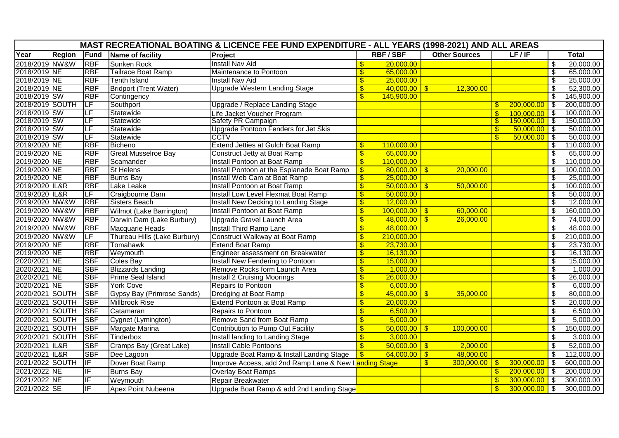| MAST RECREATIONAL BOATING & LICENCE FEE FUND EXPENDITURE - ALL YEARS (1998-2021) AND ALL AREAS |               |            |                               |                                                       |                           |                  |                |                      |               |                |                            |              |
|------------------------------------------------------------------------------------------------|---------------|------------|-------------------------------|-------------------------------------------------------|---------------------------|------------------|----------------|----------------------|---------------|----------------|----------------------------|--------------|
| Year                                                                                           | <b>Region</b> | Fund       | Name of facility              | Project                                               |                           | <b>RBF/SBF</b>   |                | <b>Other Sources</b> |               | LF/IF          |                            | <b>Total</b> |
| 2018/2019 NW&W                                                                                 |               | <b>RBF</b> | <b>Sunken Rock</b>            | <b>Install Nav Aid</b>                                | \$                        | 20,000.00        |                |                      |               |                | $\overline{\mathcal{E}}$   | 20,000.00    |
| 2018/2019 NE                                                                                   |               | <b>RBF</b> | Tailrace Boat Ramp            | Maintenance to Pontoon                                | $\overline{\mathsf{s}}$   | 65,000.00        |                |                      |               |                | \$                         | 65,000.00    |
| 2018/2019 NE                                                                                   |               | <b>RBF</b> | <b>Tenth Island</b>           | <b>Install Nav Aid</b>                                | $\overline{\mathbf{S}}$   | 25,000.00        |                |                      |               |                | \$                         | 25,000.00    |
| 2018/2019 NE                                                                                   |               | <b>RBF</b> | <b>Bridport (Trent Water)</b> | <b>Upgrade Western Landing Stage</b>                  | \$                        | $40,000.00$ \$   |                | 12,300.00            |               |                | $\overline{\mathcal{S}}$   | 52,300.00    |
| 2018/2019 SW                                                                                   |               | <b>RBF</b> | Contingency                   |                                                       | $\mathbf{\$}$             | 145,900.00       |                |                      |               |                | $\overline{\mathcal{E}}$   | 145,900.00   |
| 2018/2019 SOUTH                                                                                |               | ΤLF        | Southport                     | Upgrade / Replace Landing Stage                       |                           |                  |                |                      | $\mathbf{s}$  | 200,000.00     | \$                         | 200,000.00   |
| 2018/2019 SW                                                                                   |               | LF         | Statewide                     | Life Jacket Voucher Program                           |                           |                  |                |                      | $\mathbf{\$}$ | 100.000.00     | $\overline{\phantom{1}}$ s | 100,000.00   |
| 2018/2019 SW                                                                                   |               | ΙĿF        | Statewide                     | Safety PR Campaign                                    |                           |                  |                |                      | $\mathbf{\$}$ | 150,000.00     | $\blacksquare$             | 150,000.00   |
| 2018/2019 SW                                                                                   |               | LF         | Statewide                     | Upgrade Pontoon Fenders for Jet Skis                  |                           |                  |                |                      | $\mathbf{\$}$ | $50,000.00$ \$ |                            | 50,000.00    |
| 2018/2019 SW                                                                                   |               | ΙĿF        | Statewide                     | <b>CCTV</b>                                           |                           |                  |                |                      | $\mathbf{s}$  | 50,000.00      | -\$                        | 50,000.00    |
| 2019/2020 NE                                                                                   |               | <b>RBF</b> | <b>Bicheno</b>                | <b>Extend Jetties at Gulch Boat Ramp</b>              | $\mathbf{\$}$             | 110,000.00       |                |                      |               |                | \$                         | 110,000.00   |
| 2019/2020 NE                                                                                   |               | <b>RBF</b> | <b>Great Musselroe Bay</b>    | Construct Jetty at Boat Ramp                          | \$                        | 65,000.00        |                |                      |               |                | \$                         | 65,000.00    |
| 2019/2020 NE                                                                                   |               | <b>RBF</b> | Scamander                     | Install Pontoon at Boat Ramp                          | $\overline{\mathsf{s}}$   | 110,000.00       |                |                      |               |                | \$                         | 110,000.00   |
| 2019/2020 NE                                                                                   |               | <b>RBF</b> | <b>St Helens</b>              | Install Pontoon at the Esplanade Boat Ramp            | $\overline{\$}$           | $80,000.00$ \$   |                | 20,000.00            |               |                | $\overline{\mathcal{E}}$   | 100,000.00   |
| 2019/2020 NE                                                                                   |               | <b>RBF</b> | <b>Burns Bay</b>              | Install Web Cam at Boat Ramp                          | $\mathfrak{F}$            | 25,000.00        |                |                      |               |                | \$                         | 25,000.00    |
| 2019/2020 IL&R                                                                                 |               | <b>RBF</b> | Lake Leake                    | Install Pontoon at Boat Ramp                          | $\boldsymbol{\mathsf{S}}$ | $50,000.00$ \ \$ |                | 50,000.00            |               |                | \$                         | 100,000.00   |
| 2019/2020 IL&R                                                                                 |               | LF         | Craigbourne Dam               | Install Low Level Flexmat Boat Ramp                   | $\overline{\$}$           | 50,000.00        |                |                      |               |                | $\overline{\$}$            | 50,000.00    |
| 2019/2020 NW&W                                                                                 |               | <b>RBF</b> | Sisters Beach                 | <b>Install New Decking to Landing Stage</b>           | $\overline{\mathsf{S}}$   | 12,000.00        |                |                      |               |                | \$                         | 12,000.00    |
| 2019/2020 NW&W                                                                                 |               | <b>RBF</b> | Wilmot (Lake Barrington)      | <b>Install Pontoon at Boat Ramp</b>                   | $\sqrt[6]{\frac{1}{2}}$   | $100,000.00$ \$  |                | 60,000.00            |               |                | $\overline{\mathcal{S}}$   | 160,000.00   |
| 2019/2020 NW&W                                                                                 |               | <b>RBF</b> | Darwin Dam (Lake Burbury)     | Upgrade Gravel Launch Area                            | $\sqrt[6]{3}$             | $48,000.00$ \$   |                | 26,000.00            |               |                | $\boldsymbol{\mathsf{S}}$  | 74,000.00    |
| 2019/2020 NW&W                                                                                 |               | <b>RBF</b> | Macquarie Heads               | Install Third Ramp Lane                               | $\sqrt[6]{3}$             | 48,000.00        |                |                      |               |                | $\overline{\mathbf{3}}$    | 48,000.00    |
| 2019/2020 NW&W                                                                                 |               | LF         | Thureau Hills (Lake Burbury)  | Construct Walkway at Boat Ramp                        | $\sqrt[6]{\frac{1}{2}}$   | 210,000.00       |                |                      |               |                | $\sqrt[6]{\frac{1}{2}}$    | 210,000.00   |
| 2019/2020 NE                                                                                   |               | <b>RBF</b> | <b>Tomahawk</b>               | <b>Extend Boat Ramp</b>                               | $\mathbf{e}$              | 23,730.00        |                |                      |               |                | S                          | 23,730.00    |
| 2019/2020 NE                                                                                   |               | <b>RBF</b> | Weymouth                      | Engineer assessment on Breakwater                     | $\mathfrak{F}$            | 16,130.00        |                |                      |               |                | \$                         | 16,130.00    |
| 2020/2021 NE                                                                                   |               | <b>SBF</b> | <b>Coles Bay</b>              | Install New Fendering to Pontoon                      | $\overline{\$}$           | 15,000.00        |                |                      |               |                | $\overline{\$}$            | 15,000.00    |
| 2020/2021 NE                                                                                   |               | <b>SBF</b> | <b>Blizzards Landing</b>      | Remove Rocks form Launch Area                         | $\overline{\mathbf{S}}$   | 1,000.00         |                |                      |               |                | $\overline{\$}$            | 1,000.00     |
| 2020/2021 NE                                                                                   |               | <b>SBF</b> | <b>Prime Seal Island</b>      | <b>Install 2 Cruising Moorings</b>                    | \$                        | 26,000.00        |                |                      |               |                | $\overline{\mathcal{E}}$   | 26,000.00    |
| 2020/2021 NE                                                                                   |               | <b>SBF</b> | <b>York Cove</b>              | <b>Repairs to Pontoon</b>                             | $\overline{\mathbf{S}}$   | 6,000.00         |                |                      |               |                | \$                         | 6,000.00     |
| 2020/2021 SOUTH                                                                                |               | <b>SBF</b> | Gypsy Bay (Primrose Sands)    | Dredging at Boat Ramp                                 | $\mathfrak{F}$            | $45,000.00$ \$   |                | 35,000.00            |               |                | $\overline{\mathbf{e}}$    | 80,000.00    |
| 2020/2021 SOUTH                                                                                |               | <b>SBF</b> | <b>Millbrook Rise</b>         | Extend Pontoon at Boat Ramp                           | $\overline{\mathbf{S}}$   | 20,000.00        |                |                      |               |                | $\overline{\mathbf{3}}$    | 20,000.00    |
| 2020/2021 SOUTH                                                                                |               | <b>SBF</b> | Catamaran                     | Repairs to Pontoon                                    | $\mathbf{\hat{s}}$        | 6,500.00         |                |                      |               |                | $\overline{\mathcal{S}}$   | 6,500.00     |
| 2020/2021 SOUTH                                                                                |               | <b>SBF</b> | Cygnet (Lymington)            | Remove Sand from Boat Ramp                            | $\overline{\mathbf{S}}$   | 5,000.00         |                |                      |               |                | $\overline{\mathbf{3}}$    | 5,000.00     |
| 2020/2021 SOUTH                                                                                |               | <b>SBF</b> | Margate Marina                | Contribution to Pump Out Facility                     | $\frac{1}{2}$             | $50,000.00$ \$   |                | 100,000.00           |               |                | $\mathfrak{S}$             | 150,000.00   |
| 2020/2021 SOUTH                                                                                |               | <b>SBF</b> | Tinderbox                     | Install landing to Landing Stage                      | $\frac{1}{2}$             | 3,000.00         |                |                      |               |                | $\sqrt[6]{\frac{1}{2}}$    | 3,000.00     |
| 2020/2021 IL&R                                                                                 |               | <b>SBF</b> | Cramps Bay (Great Lake)       | Install Cable Pontoons                                | $\overline{\mathbb{S}}$   | 50,000.00        | $\overline{5}$ | 2,000.00             |               |                | $\overline{\mathcal{S}}$   | 52,000.00    |
| 2020/2021 IL&R                                                                                 |               | <b>SBF</b> | Dee Lagoon                    | Upgrade Boat Ramp & Install Landing Stage             | $\frac{1}{2}$             | $64,000.00$ \$   |                | 48,000.00            |               |                | $\overline{\mathbf{s}}$    | 112,000.00   |
| 2021/2022 SOUTH                                                                                |               | IIF        | Dover Boat Ramp               | Improve Access, add 2nd Ramp Lane & New Landing Stage |                           |                  | $\mathbf{\$}$  | $300,000.00$ \$      |               | 300,000.00     | க                          | 600,000.00   |
| 2021/2022 NE                                                                                   |               | IF         | <b>Burns Bay</b>              | <b>Overlay Boat Ramps</b>                             |                           |                  |                |                      | $\mathbf{\$}$ | 200,000.00     | \$                         | 200,000.00   |
| 2021/2022 NE                                                                                   |               | IF         | Weymouth                      | Repair Breakwater                                     |                           |                  |                |                      | $\mathbf{\$}$ | 300,000.00     | l \$                       | 300,000.00   |
| 2021/2022 SE                                                                                   |               | IIF        |                               |                                                       |                           |                  |                |                      | $\mathbf{s}$  | 300,000.00     | -\$                        | 300,000.00   |
|                                                                                                |               |            | Apex Point Nubeena            | Upgrade Boat Ramp & add 2nd Landing Stage             |                           |                  |                |                      |               |                |                            |              |